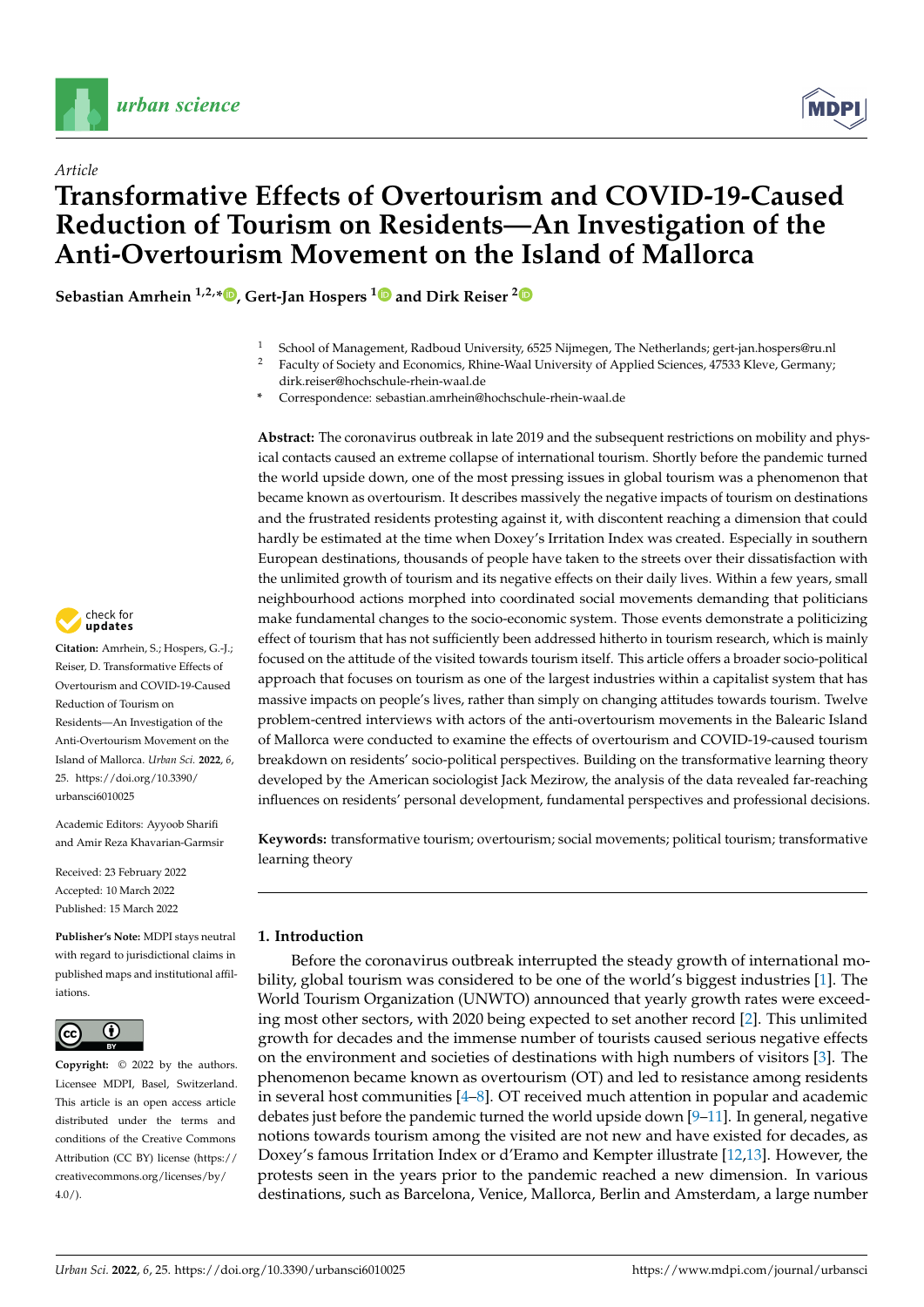

*Article*



# **Transformative Effects of Overtourism and COVID-19-Caused Reduction of Tourism on Residents—An Investigation of the Anti-Overtourism Movement on the Island of Mallorca**

**Sebastian Amrhein 1,2,\* [,](https://orcid.org/0000-0003-2667-9843) Gert-Jan Hospers [1](https://orcid.org/0000-0002-7569-7354) and Dirk Reiser [2](https://orcid.org/0000-0002-3417-7686)**

- <sup>1</sup> School of Management, Radboud University, 6525 Nijmegen, The Netherlands; gert-jan.hospers@ru.nl
- <sup>2</sup> Faculty of Society and Economics, Rhine-Waal University of Applied Sciences, 47533 Kleve, Germany; dirk.reiser@hochschule-rhein-waal.de
- **\*** Correspondence: sebastian.amrhein@hochschule-rhein-waal.de

**Abstract:** The coronavirus outbreak in late 2019 and the subsequent restrictions on mobility and physical contacts caused an extreme collapse of international tourism. Shortly before the pandemic turned the world upside down, one of the most pressing issues in global tourism was a phenomenon that became known as overtourism. It describes massively the negative impacts of tourism on destinations and the frustrated residents protesting against it, with discontent reaching a dimension that could hardly be estimated at the time when Doxey's Irritation Index was created. Especially in southern European destinations, thousands of people have taken to the streets over their dissatisfaction with the unlimited growth of tourism and its negative effects on their daily lives. Within a few years, small neighbourhood actions morphed into coordinated social movements demanding that politicians make fundamental changes to the socio-economic system. Those events demonstrate a politicizing effect of tourism that has not sufficiently been addressed hitherto in tourism research, which is mainly focused on the attitude of the visited towards tourism itself. This article offers a broader socio-political approach that focuses on tourism as one of the largest industries within a capitalist system that has massive impacts on people's lives, rather than simply on changing attitudes towards tourism. Twelve problem-centred interviews with actors of the anti-overtourism movements in the Balearic Island of Mallorca were conducted to examine the effects of overtourism and COVID-19-caused tourism breakdown on residents' socio-political perspectives. Building on the transformative learning theory developed by the American sociologist Jack Mezirow, the analysis of the data revealed far-reaching influences on residents' personal development, fundamental perspectives and professional decisions.

**Keywords:** transformative tourism; overtourism; social movements; political tourism; transformative learning theory

# **1. Introduction**

Before the coronavirus outbreak interrupted the steady growth of international mobility, global tourism was considered to be one of the world's biggest industries [\[1\]](#page-12-0). The World Tourism Organization (UNWTO) announced that yearly growth rates were exceeding most other sectors, with 2020 being expected to set another record [\[2\]](#page-12-1). This unlimited growth for decades and the immense number of tourists caused serious negative effects on the environment and societies of destinations with high numbers of visitors [\[3\]](#page-12-2). The phenomenon became known as overtourism (OT) and led to resistance among residents in several host communities [\[4](#page-12-3)[–8\]](#page-12-4). OT received much attention in popular and academic debates just before the pandemic turned the world upside down  $[9-11]$  $[9-11]$ . In general, negative notions towards tourism among the visited are not new and have existed for decades, as Doxey's famous Irritation Index or d'Eramo and Kempter illustrate [\[12](#page-12-7)[,13\]](#page-12-8). However, the protests seen in the years prior to the pandemic reached a new dimension. In various destinations, such as Barcelona, Venice, Mallorca, Berlin and Amsterdam, a large number



**Citation:** Amrhein, S.; Hospers, G.-J.; Reiser, D. Transformative Effects of Overtourism and COVID-19-Caused Reduction of Tourism on Residents—An Investigation of the Anti-Overtourism Movement on the Island of Mallorca. *Urban Sci.* **2022**, *6*, 25. [https://doi.org/10.3390/](https://doi.org/10.3390/urbansci6010025) [urbansci6010025](https://doi.org/10.3390/urbansci6010025)

Academic Editors: Ayyoob Sharifi and Amir Reza Khavarian-Garmsir

Received: 23 February 2022 Accepted: 10 March 2022 Published: 15 March 2022

**Publisher's Note:** MDPI stays neutral with regard to jurisdictional claims in published maps and institutional affiliations.



**Copyright:** © 2022 by the authors. Licensee MDPI, Basel, Switzerland. This article is an open access article distributed under the terms and conditions of the Creative Commons Attribution (CC BY) license [\(https://](https://creativecommons.org/licenses/by/4.0/) [creativecommons.org/licenses/by/](https://creativecommons.org/licenses/by/4.0/)  $4.0/$ ).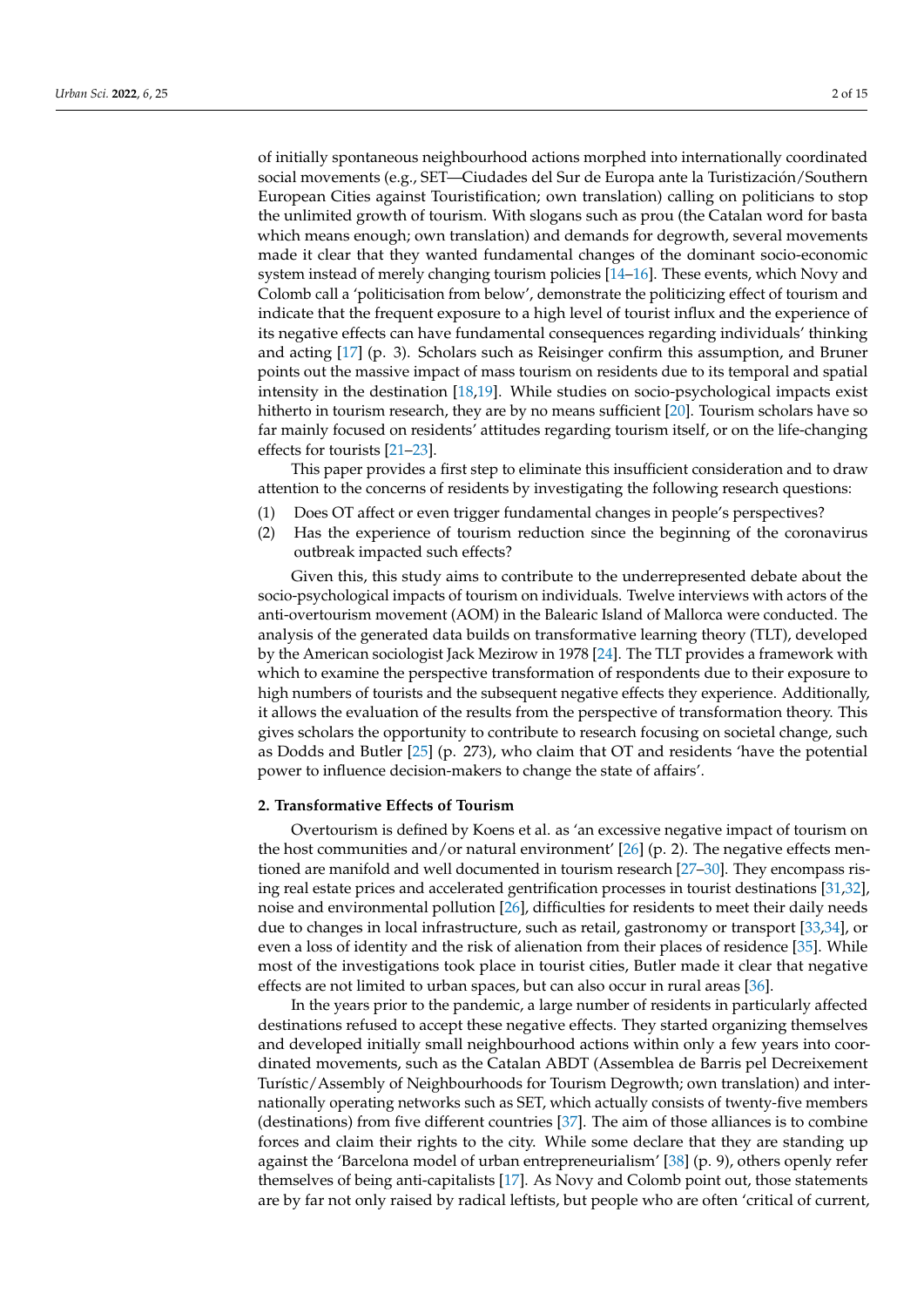of initially spontaneous neighbourhood actions morphed into internationally coordinated social movements (e.g., SET—Ciudades del Sur de Europa ante la Turistización/Southern European Cities against Touristification; own translation) calling on politicians to stop the unlimited growth of tourism. With slogans such as prou (the Catalan word for basta which means enough; own translation) and demands for degrowth, several movements made it clear that they wanted fundamental changes of the dominant socio-economic system instead of merely changing tourism policies [\[14–](#page-12-9)[16\]](#page-12-10). These events, which Novy and Colomb call a 'politicisation from below', demonstrate the politicizing effect of tourism and indicate that the frequent exposure to a high level of tourist influx and the experience of its negative effects can have fundamental consequences regarding individuals' thinking and acting [\[17\]](#page-12-11) (p. 3). Scholars such as Reisinger confirm this assumption, and Bruner points out the massive impact of mass tourism on residents due to its temporal and spatial intensity in the destination [\[18,](#page-12-12)[19\]](#page-12-13). While studies on socio-psychological impacts exist hitherto in tourism research, they are by no means sufficient [\[20\]](#page-12-14). Tourism scholars have so far mainly focused on residents' attitudes regarding tourism itself, or on the life-changing effects for tourists [\[21–](#page-12-15)[23\]](#page-12-16).

This paper provides a first step to eliminate this insufficient consideration and to draw attention to the concerns of residents by investigating the following research questions:

- (1) Does OT affect or even trigger fundamental changes in people's perspectives?
- (2) Has the experience of tourism reduction since the beginning of the coronavirus outbreak impacted such effects?

Given this, this study aims to contribute to the underrepresented debate about the socio-psychological impacts of tourism on individuals. Twelve interviews with actors of the anti-overtourism movement (AOM) in the Balearic Island of Mallorca were conducted. The analysis of the generated data builds on transformative learning theory (TLT), developed by the American sociologist Jack Mezirow in 1978 [\[24\]](#page-12-17). The TLT provides a framework with which to examine the perspective transformation of respondents due to their exposure to high numbers of tourists and the subsequent negative effects they experience. Additionally, it allows the evaluation of the results from the perspective of transformation theory. This gives scholars the opportunity to contribute to research focusing on societal change, such as Dodds and Butler [\[25\]](#page-12-18) (p. 273), who claim that OT and residents 'have the potential power to influence decision-makers to change the state of affairs'.

# **2. Transformative Effects of Tourism**

Overtourism is defined by Koens et al. as 'an excessive negative impact of tourism on the host communities and/or natural environment'  $[26]$  (p. 2). The negative effects mentioned are manifold and well documented in tourism research [\[27–](#page-12-20)[30\]](#page-12-21). They encompass rising real estate prices and accelerated gentrification processes in tourist destinations [\[31](#page-12-22)[,32\]](#page-13-0), noise and environmental pollution [\[26\]](#page-12-19), difficulties for residents to meet their daily needs due to changes in local infrastructure, such as retail, gastronomy or transport [\[33](#page-13-1)[,34\]](#page-13-2), or even a loss of identity and the risk of alienation from their places of residence [\[35\]](#page-13-3). While most of the investigations took place in tourist cities, Butler made it clear that negative effects are not limited to urban spaces, but can also occur in rural areas [\[36\]](#page-13-4).

In the years prior to the pandemic, a large number of residents in particularly affected destinations refused to accept these negative effects. They started organizing themselves and developed initially small neighbourhood actions within only a few years into coordinated movements, such as the Catalan ABDT (Assemblea de Barris pel Decreixement Turístic/Assembly of Neighbourhoods for Tourism Degrowth; own translation) and internationally operating networks such as SET, which actually consists of twenty-five members (destinations) from five different countries [\[37\]](#page-13-5). The aim of those alliances is to combine forces and claim their rights to the city. While some declare that they are standing up against the 'Barcelona model of urban entrepreneurialism' [\[38\]](#page-13-6) (p. 9), others openly refer themselves of being anti-capitalists [\[17\]](#page-12-11). As Novy and Colomb point out, those statements are by far not only raised by radical leftists, but people who are often 'critical of current,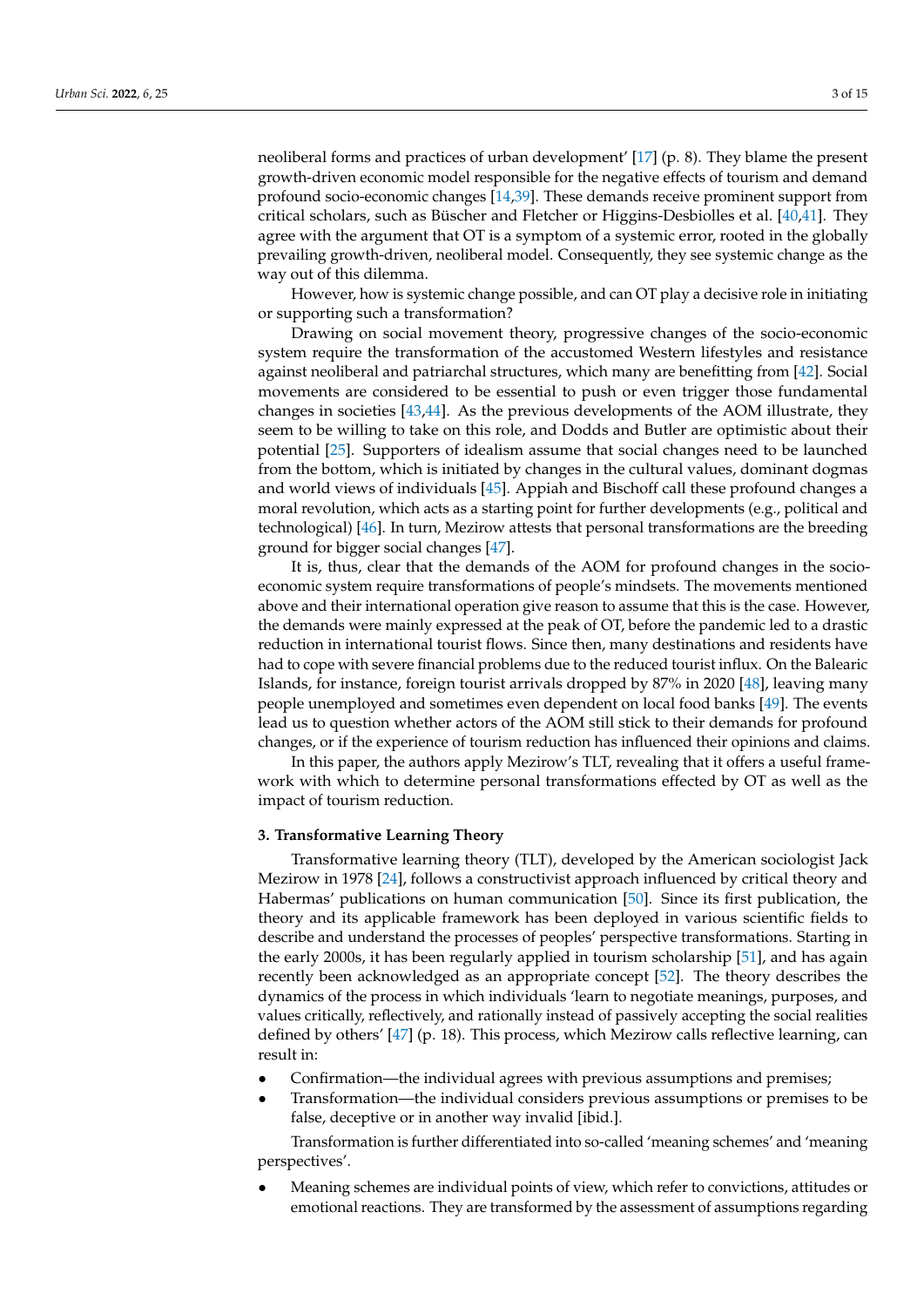neoliberal forms and practices of urban development' [\[17\]](#page-12-11) (p. 8). They blame the present growth-driven economic model responsible for the negative effects of tourism and demand profound socio-economic changes [\[14,](#page-12-9)[39\]](#page-13-7). These demands receive prominent support from critical scholars, such as Büscher and Fletcher or Higgins-Desbiolles et al. [\[40](#page-13-8)[,41\]](#page-13-9). They agree with the argument that OT is a symptom of a systemic error, rooted in the globally prevailing growth-driven, neoliberal model. Consequently, they see systemic change as the way out of this dilemma.

However, how is systemic change possible, and can OT play a decisive role in initiating or supporting such a transformation?

Drawing on social movement theory, progressive changes of the socio-economic system require the transformation of the accustomed Western lifestyles and resistance against neoliberal and patriarchal structures, which many are benefitting from [\[42\]](#page-13-10). Social movements are considered to be essential to push or even trigger those fundamental changes in societies [\[43,](#page-13-11)[44\]](#page-13-12). As the previous developments of the AOM illustrate, they seem to be willing to take on this role, and Dodds and Butler are optimistic about their potential [\[25\]](#page-12-18). Supporters of idealism assume that social changes need to be launched from the bottom, which is initiated by changes in the cultural values, dominant dogmas and world views of individuals [\[45\]](#page-13-13). Appiah and Bischoff call these profound changes a moral revolution, which acts as a starting point for further developments (e.g., political and technological) [\[46\]](#page-13-14). In turn, Mezirow attests that personal transformations are the breeding ground for bigger social changes [\[47\]](#page-13-15).

It is, thus, clear that the demands of the AOM for profound changes in the socioeconomic system require transformations of people's mindsets. The movements mentioned above and their international operation give reason to assume that this is the case. However, the demands were mainly expressed at the peak of OT, before the pandemic led to a drastic reduction in international tourist flows. Since then, many destinations and residents have had to cope with severe financial problems due to the reduced tourist influx. On the Balearic Islands, for instance, foreign tourist arrivals dropped by 87% in 2020 [\[48\]](#page-13-16), leaving many people unemployed and sometimes even dependent on local food banks [\[49\]](#page-13-17). The events lead us to question whether actors of the AOM still stick to their demands for profound changes, or if the experience of tourism reduction has influenced their opinions and claims.

In this paper, the authors apply Mezirow's TLT, revealing that it offers a useful framework with which to determine personal transformations effected by OT as well as the impact of tourism reduction.

#### <span id="page-2-0"></span>**3. Transformative Learning Theory**

Transformative learning theory (TLT), developed by the American sociologist Jack Mezirow in 1978 [\[24\]](#page-12-17), follows a constructivist approach influenced by critical theory and Habermas' publications on human communication [\[50\]](#page-13-18). Since its first publication, the theory and its applicable framework has been deployed in various scientific fields to describe and understand the processes of peoples' perspective transformations. Starting in the early 2000s, it has been regularly applied in tourism scholarship [\[51\]](#page-13-19), and has again recently been acknowledged as an appropriate concept [\[52\]](#page-13-20). The theory describes the dynamics of the process in which individuals 'learn to negotiate meanings, purposes, and values critically, reflectively, and rationally instead of passively accepting the social realities defined by others' [\[47\]](#page-13-15) (p. 18). This process, which Mezirow calls reflective learning, can result in:

- Confirmation—the individual agrees with previous assumptions and premises;
- Transformation—the individual considers previous assumptions or premises to be false, deceptive or in another way invalid [ibid.].

Transformation is further differentiated into so-called 'meaning schemes' and 'meaning perspectives'.

• Meaning schemes are individual points of view, which refer to convictions, attitudes or emotional reactions. They are transformed by the assessment of assumptions regarding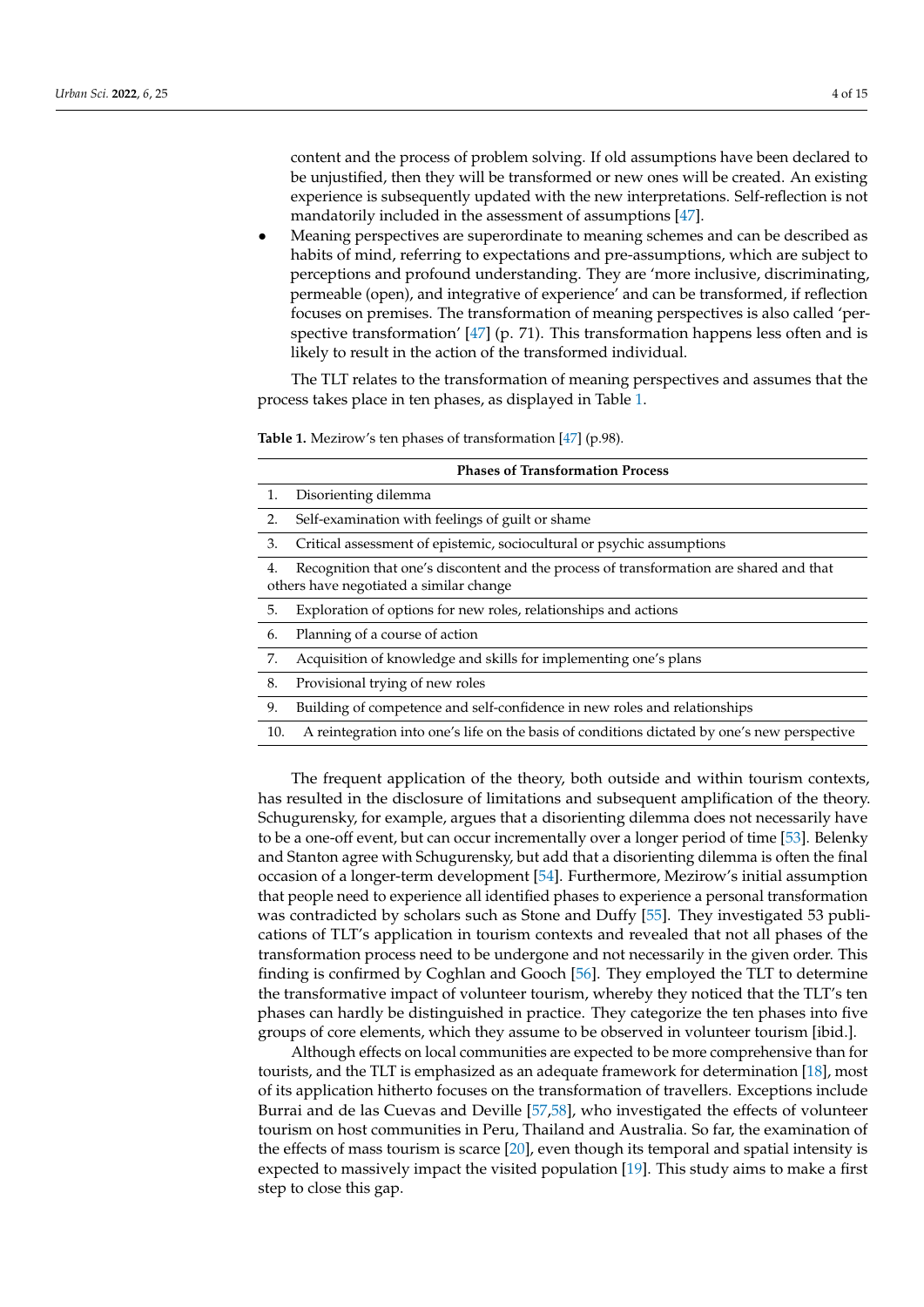content and the process of problem solving. If old assumptions have been declared to be unjustified, then they will be transformed or new ones will be created. An existing experience is subsequently updated with the new interpretations. Self-reflection is not mandatorily included in the assessment of assumptions [\[47\]](#page-13-15).

• Meaning perspectives are superordinate to meaning schemes and can be described as habits of mind, referring to expectations and pre-assumptions, which are subject to perceptions and profound understanding. They are 'more inclusive, discriminating, permeable (open), and integrative of experience' and can be transformed, if reflection focuses on premises. The transformation of meaning perspectives is also called 'perspective transformation' [\[47\]](#page-13-15) (p. 71). This transformation happens less often and is likely to result in the action of the transformed individual.

The TLT relates to the transformation of meaning perspectives and assumes that the process takes place in ten phases, as displayed in Table [1.](#page-3-0)

| <b>Phases of Transformation Process</b>                                                                                                  |                                                                                              |  |  |  |  |  |
|------------------------------------------------------------------------------------------------------------------------------------------|----------------------------------------------------------------------------------------------|--|--|--|--|--|
| 1.                                                                                                                                       | Disorienting dilemma                                                                         |  |  |  |  |  |
| 2.                                                                                                                                       | Self-examination with feelings of guilt or shame                                             |  |  |  |  |  |
| 3.                                                                                                                                       | Critical assessment of epistemic, sociocultural or psychic assumptions                       |  |  |  |  |  |
| Recognition that one's discontent and the process of transformation are shared and that<br>4.<br>others have negotiated a similar change |                                                                                              |  |  |  |  |  |
| 5.                                                                                                                                       | Exploration of options for new roles, relationships and actions                              |  |  |  |  |  |
| 6.                                                                                                                                       | Planning of a course of action                                                               |  |  |  |  |  |
| 7.                                                                                                                                       | Acquisition of knowledge and skills for implementing one's plans                             |  |  |  |  |  |
| 8.                                                                                                                                       | Provisional trying of new roles                                                              |  |  |  |  |  |
| 9.                                                                                                                                       | Building of competence and self-confidence in new roles and relationships                    |  |  |  |  |  |
| 10.                                                                                                                                      | A reintegration into one's life on the basis of conditions dictated by one's new perspective |  |  |  |  |  |
|                                                                                                                                          |                                                                                              |  |  |  |  |  |

<span id="page-3-0"></span>**Table 1.** Mezirow's ten phases of transformation [\[47\]](#page-13-15) (p.98).

The frequent application of the theory, both outside and within tourism contexts, has resulted in the disclosure of limitations and subsequent amplification of the theory. Schugurensky, for example, argues that a disorienting dilemma does not necessarily have to be a one-off event, but can occur incrementally over a longer period of time [\[53\]](#page-13-21). Belenky and Stanton agree with Schugurensky, but add that a disorienting dilemma is often the final occasion of a longer-term development [\[54\]](#page-13-22). Furthermore, Mezirow's initial assumption that people need to experience all identified phases to experience a personal transformation was contradicted by scholars such as Stone and Duffy [\[55\]](#page-13-23). They investigated 53 publications of TLT's application in tourism contexts and revealed that not all phases of the transformation process need to be undergone and not necessarily in the given order. This finding is confirmed by Coghlan and Gooch [\[56\]](#page-13-24). They employed the TLT to determine the transformative impact of volunteer tourism, whereby they noticed that the TLT's ten phases can hardly be distinguished in practice. They categorize the ten phases into five groups of core elements, which they assume to be observed in volunteer tourism [ibid.].

Although effects on local communities are expected to be more comprehensive than for tourists, and the TLT is emphasized as an adequate framework for determination [\[18\]](#page-12-12), most of its application hitherto focuses on the transformation of travellers. Exceptions include Burrai and de las Cuevas and Deville [\[57](#page-13-25)[,58\]](#page-13-26), who investigated the effects of volunteer tourism on host communities in Peru, Thailand and Australia. So far, the examination of the effects of mass tourism is scarce [\[20\]](#page-12-14), even though its temporal and spatial intensity is expected to massively impact the visited population [\[19\]](#page-12-13). This study aims to make a first step to close this gap.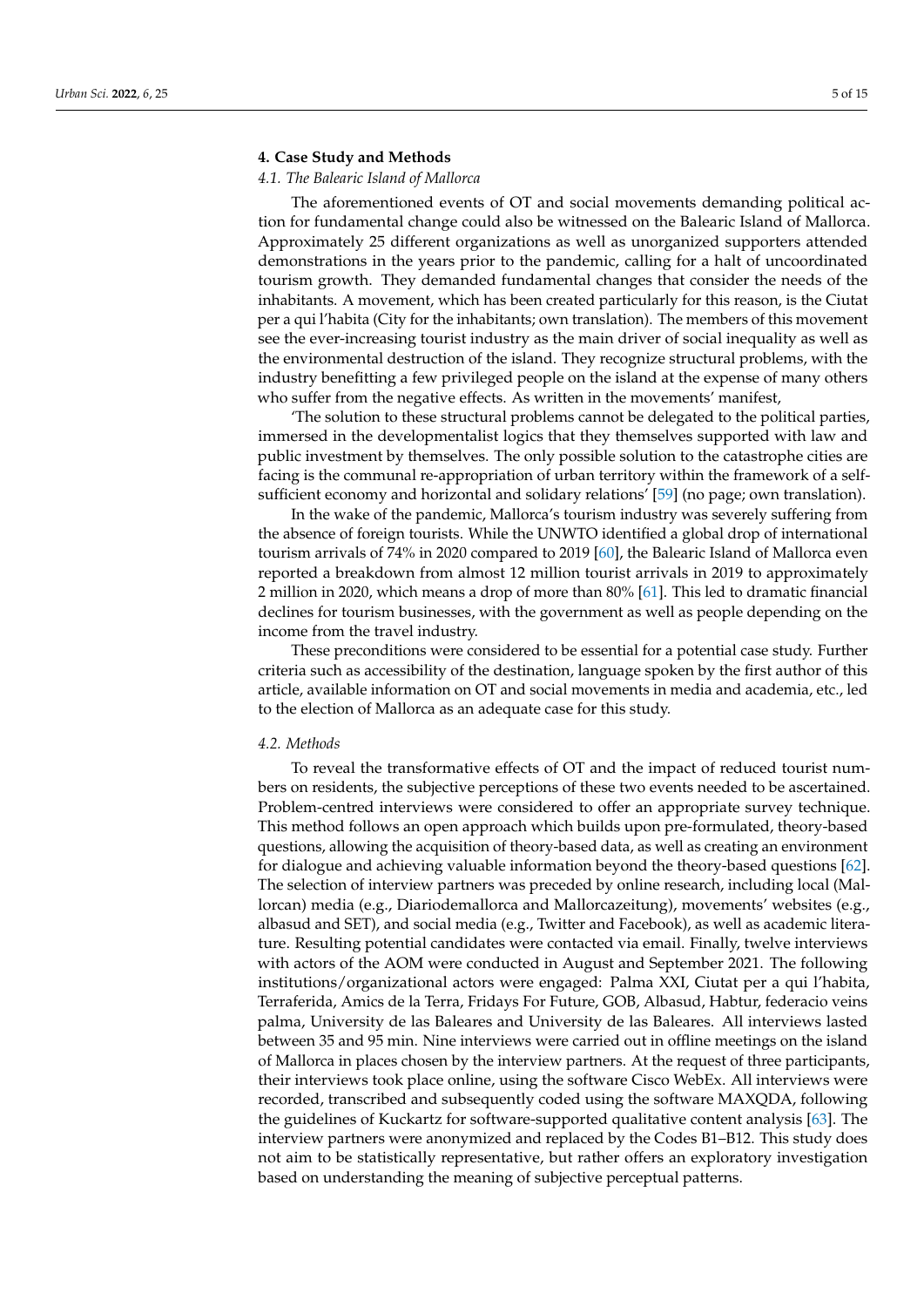#### **4. Case Study and Methods**

## *4.1. The Balearic Island of Mallorca*

The aforementioned events of OT and social movements demanding political action for fundamental change could also be witnessed on the Balearic Island of Mallorca. Approximately 25 different organizations as well as unorganized supporters attended demonstrations in the years prior to the pandemic, calling for a halt of uncoordinated tourism growth. They demanded fundamental changes that consider the needs of the inhabitants. A movement, which has been created particularly for this reason, is the Ciutat per a qui l'habita (City for the inhabitants; own translation). The members of this movement see the ever-increasing tourist industry as the main driver of social inequality as well as the environmental destruction of the island. They recognize structural problems, with the industry benefitting a few privileged people on the island at the expense of many others who suffer from the negative effects. As written in the movements' manifest,

'The solution to these structural problems cannot be delegated to the political parties, immersed in the developmentalist logics that they themselves supported with law and public investment by themselves. The only possible solution to the catastrophe cities are facing is the communal re-appropriation of urban territory within the framework of a selfsufficient economy and horizontal and solidary relations' [\[59\]](#page-13-27) (no page; own translation).

In the wake of the pandemic, Mallorca's tourism industry was severely suffering from the absence of foreign tourists. While the UNWTO identified a global drop of international tourism arrivals of 74% in 2020 compared to 2019 [\[60\]](#page-13-28), the Balearic Island of Mallorca even reported a breakdown from almost 12 million tourist arrivals in 2019 to approximately 2 million in 2020, which means a drop of more than 80% [\[61\]](#page-14-0). This led to dramatic financial declines for tourism businesses, with the government as well as people depending on the income from the travel industry.

These preconditions were considered to be essential for a potential case study. Further criteria such as accessibility of the destination, language spoken by the first author of this article, available information on OT and social movements in media and academia, etc., led to the election of Mallorca as an adequate case for this study.

#### *4.2. Methods*

To reveal the transformative effects of OT and the impact of reduced tourist numbers on residents, the subjective perceptions of these two events needed to be ascertained. Problem-centred interviews were considered to offer an appropriate survey technique. This method follows an open approach which builds upon pre-formulated, theory-based questions, allowing the acquisition of theory-based data, as well as creating an environment for dialogue and achieving valuable information beyond the theory-based questions [\[62\]](#page-14-1). The selection of interview partners was preceded by online research, including local (Mallorcan) media (e.g., Diariodemallorca and Mallorcazeitung), movements' websites (e.g., albasud and SET), and social media (e.g., Twitter and Facebook), as well as academic literature. Resulting potential candidates were contacted via email. Finally, twelve interviews with actors of the AOM were conducted in August and September 2021. The following institutions/organizational actors were engaged: Palma XXI, Ciutat per a qui l'habita, Terraferida, Amics de la Terra, Fridays For Future, GOB, Albasud, Habtur, federacio veins palma, University de las Baleares and University de las Baleares. All interviews lasted between 35 and 95 min. Nine interviews were carried out in offline meetings on the island of Mallorca in places chosen by the interview partners. At the request of three participants, their interviews took place online, using the software Cisco WebEx. All interviews were recorded, transcribed and subsequently coded using the software MAXQDA, following the guidelines of Kuckartz for software-supported qualitative content analysis [\[63\]](#page-14-2). The interview partners were anonymized and replaced by the Codes B1–B12. This study does not aim to be statistically representative, but rather offers an exploratory investigation based on understanding the meaning of subjective perceptual patterns.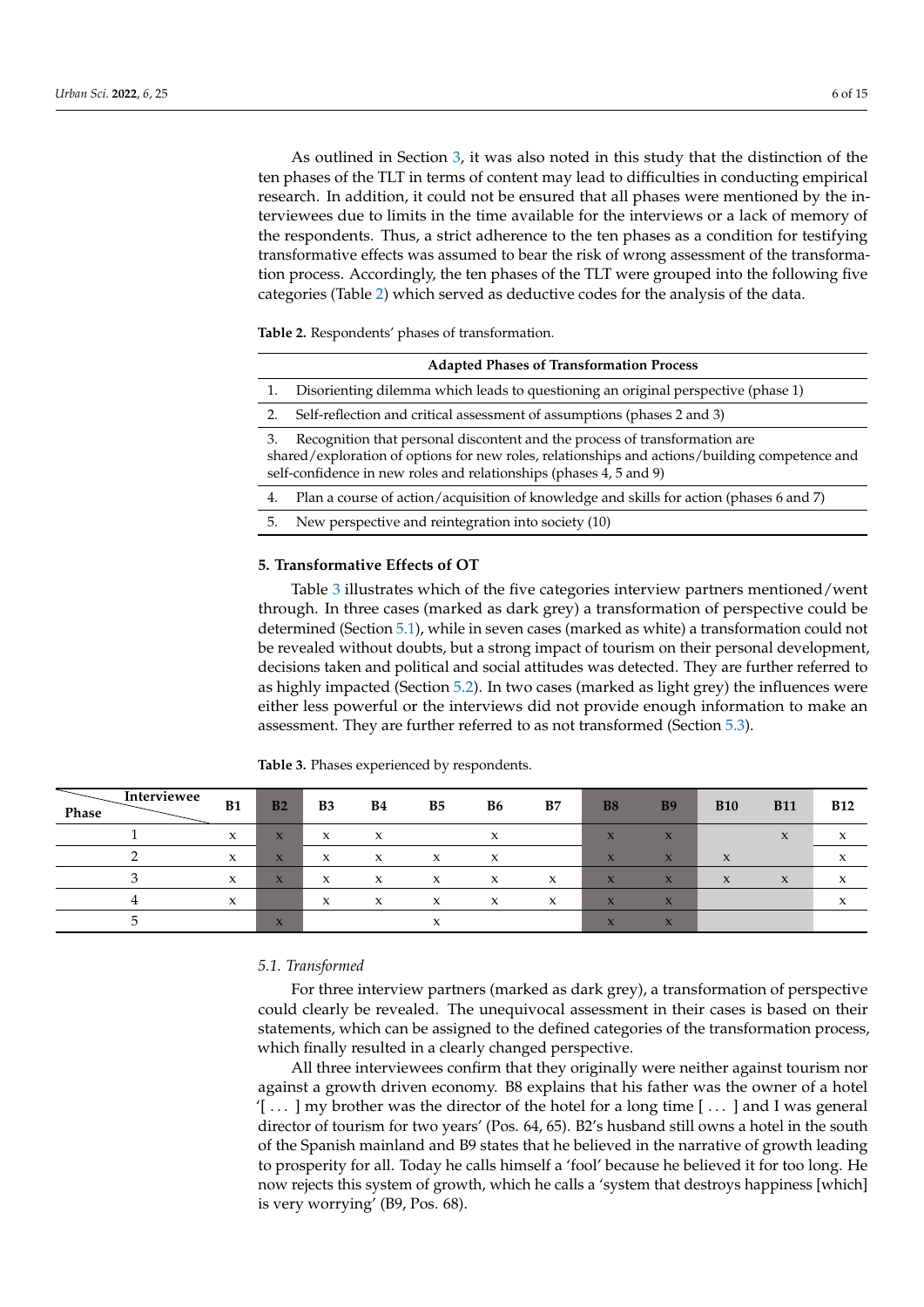As outlined in Section [3,](#page-2-0) it was also noted in this study that the distinction of the ten phases of the TLT in terms of content may lead to difficulties in conducting empirical research. In addition, it could not be ensured that all phases were mentioned by the interviewees due to limits in the time available for the interviews or a lack of memory of the respondents. Thus, a strict adherence to the ten phases as a condition for testifying transformative effects was assumed to bear the risk of wrong assessment of the transformation process. Accordingly, the ten phases of the TLT were grouped into the following five categories (Table [2\)](#page-5-0) which served as deductive codes for the analysis of the data.

<span id="page-5-0"></span>**Table 2.** Respondents' phases of transformation.

| <b>Adapted Phases of Transformation Process</b>                                                                                                                                                                                                          |                                                                                         |  |  |  |  |
|----------------------------------------------------------------------------------------------------------------------------------------------------------------------------------------------------------------------------------------------------------|-----------------------------------------------------------------------------------------|--|--|--|--|
| 1.                                                                                                                                                                                                                                                       | Disorienting dilemma which leads to questioning an original perspective (phase 1)       |  |  |  |  |
| 2.                                                                                                                                                                                                                                                       | Self-reflection and critical assessment of assumptions (phases 2 and 3)                 |  |  |  |  |
| Recognition that personal discontent and the process of transformation are<br>3.<br>shared/exploration of options for new roles, relationships and actions/building competence and<br>self-confidence in new roles and relationships (phases 4, 5 and 9) |                                                                                         |  |  |  |  |
| 4.                                                                                                                                                                                                                                                       | Plan a course of action/acquisition of knowledge and skills for action (phases 6 and 7) |  |  |  |  |
| 5.                                                                                                                                                                                                                                                       | New perspective and reintegration into society (10)                                     |  |  |  |  |

#### **5. Transformative Effects of OT**

Table [3](#page-5-1) illustrates which of the five categories interview partners mentioned/went through. In three cases (marked as dark grey) a transformation of perspective could be determined (Section [5.1\)](#page-5-2), while in seven cases (marked as white) a transformation could not be revealed without doubts, but a strong impact of tourism on their personal development, decisions taken and political and social attitudes was detected. They are further referred to as highly impacted (Section [5.2\)](#page-6-0). In two cases (marked as light grey) the influences were either less powerful or the interviews did not provide enough information to make an assessment. They are further referred to as not transformed (Section [5.3\)](#page-8-0).

| Interviewee<br>Phase | B1           | B <sub>2</sub>          | B <sub>3</sub> | <b>B4</b> | B5                | <b>B6</b> | B7                        | <b>B8</b>                 | <b>B9</b>               | <b>B10</b>                | <b>B11</b>          | <b>B12</b>                            |
|----------------------|--------------|-------------------------|----------------|-----------|-------------------|-----------|---------------------------|---------------------------|-------------------------|---------------------------|---------------------|---------------------------------------|
|                      | X            | $\mathbf{x}$            | X              | X         |                   | X         |                           | $\mathbf x$               | $\boldsymbol{\chi}$     |                           | $\boldsymbol{\chi}$ | $\boldsymbol{\mathsf{x}}$             |
|                      | $\mathbf x$  | $\mathbf x$             | X              | X         | x                 | X         |                           | $\mathbf x$               | $\mathbf{x}$            | $\mathbf{v}$<br>$\lambda$ |                     | $\mathbf{v}$<br>$\lambda$             |
|                      | $\mathbf{x}$ | $\overline{\mathbf{x}}$ | X              | X         | X                 | X         | $\boldsymbol{\mathsf{x}}$ | $\mathbf x$               | $\overline{\mathsf{x}}$ | $\mathbf{x}$              | $\boldsymbol{\chi}$ | $\boldsymbol{\mathsf{x}}$             |
|                      | $\mathbf x$  |                         | X              | X         | $\checkmark$<br>л | X         | X                         | $\mathbf x$               | $\mathbf{x}$            |                           |                     | $\overline{\phantom{a}}$<br>$\lambda$ |
|                      |              | $\mathbf{x}$            |                |           |                   |           |                           | $\mathbf{z}$<br>$\lambda$ | $\mathbf{x}$            |                           |                     |                                       |

<span id="page-5-1"></span>**Table 3.** Phases experienced by respondents.

#### <span id="page-5-2"></span>*5.1. Transformed*

For three interview partners (marked as dark grey), a transformation of perspective could clearly be revealed. The unequivocal assessment in their cases is based on their statements, which can be assigned to the defined categories of the transformation process, which finally resulted in a clearly changed perspective.

All three interviewees confirm that they originally were neither against tourism nor against a growth driven economy. B8 explains that his father was the owner of a hotel  $[$ ... ] my brother was the director of the hotel for a long time [ $\ldots$ ] and I was general director of tourism for two years' (Pos. 64, 65). B2's husband still owns a hotel in the south of the Spanish mainland and B9 states that he believed in the narrative of growth leading to prosperity for all. Today he calls himself a 'fool' because he believed it for too long. He now rejects this system of growth, which he calls a 'system that destroys happiness [which] is very worrying' (B9, Pos. 68).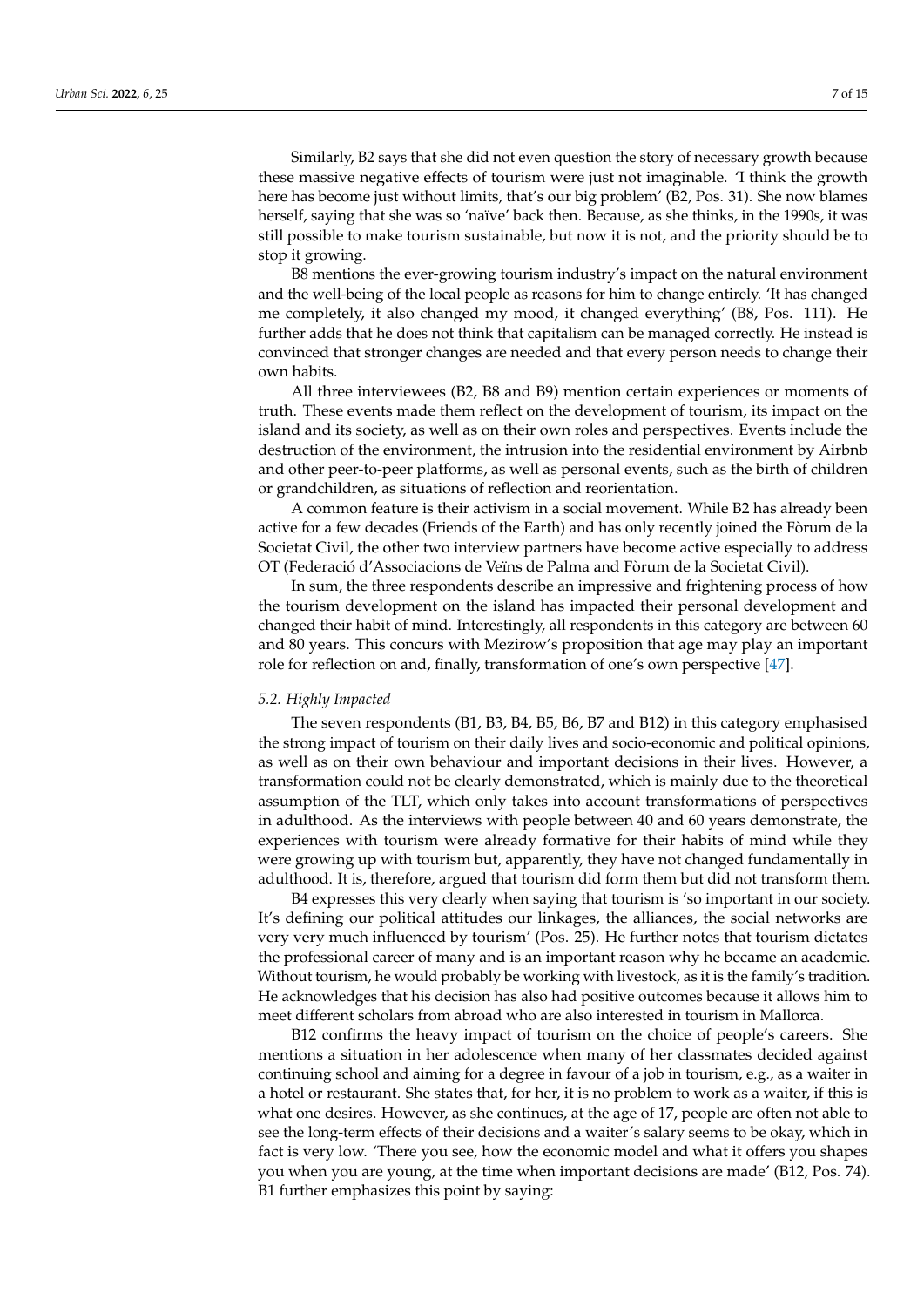Similarly, B2 says that she did not even question the story of necessary growth because these massive negative effects of tourism were just not imaginable. 'I think the growth here has become just without limits, that's our big problem' (B2, Pos. 31). She now blames herself, saying that she was so 'naïve' back then. Because, as she thinks, in the 1990s, it was still possible to make tourism sustainable, but now it is not, and the priority should be to stop it growing.

B8 mentions the ever-growing tourism industry's impact on the natural environment and the well-being of the local people as reasons for him to change entirely. 'It has changed me completely, it also changed my mood, it changed everything' (B8, Pos. 111). He further adds that he does not think that capitalism can be managed correctly. He instead is convinced that stronger changes are needed and that every person needs to change their own habits.

All three interviewees (B2, B8 and B9) mention certain experiences or moments of truth. These events made them reflect on the development of tourism, its impact on the island and its society, as well as on their own roles and perspectives. Events include the destruction of the environment, the intrusion into the residential environment by Airbnb and other peer-to-peer platforms, as well as personal events, such as the birth of children or grandchildren, as situations of reflection and reorientation.

A common feature is their activism in a social movement. While B2 has already been active for a few decades (Friends of the Earth) and has only recently joined the Fòrum de la Societat Civil, the other two interview partners have become active especially to address OT (Federació d'Associacions de Veïns de Palma and Fòrum de la Societat Civil).

In sum, the three respondents describe an impressive and frightening process of how the tourism development on the island has impacted their personal development and changed their habit of mind. Interestingly, all respondents in this category are between 60 and 80 years. This concurs with Mezirow's proposition that age may play an important role for reflection on and, finally, transformation of one's own perspective [\[47\]](#page-13-15).

#### <span id="page-6-0"></span>*5.2. Highly Impacted*

The seven respondents (B1, B3, B4, B5, B6, B7 and B12) in this category emphasised the strong impact of tourism on their daily lives and socio-economic and political opinions, as well as on their own behaviour and important decisions in their lives. However, a transformation could not be clearly demonstrated, which is mainly due to the theoretical assumption of the TLT, which only takes into account transformations of perspectives in adulthood. As the interviews with people between 40 and 60 years demonstrate, the experiences with tourism were already formative for their habits of mind while they were growing up with tourism but, apparently, they have not changed fundamentally in adulthood. It is, therefore, argued that tourism did form them but did not transform them.

B4 expresses this very clearly when saying that tourism is 'so important in our society. It's defining our political attitudes our linkages, the alliances, the social networks are very very much influenced by tourism' (Pos. 25). He further notes that tourism dictates the professional career of many and is an important reason why he became an academic. Without tourism, he would probably be working with livestock, as it is the family's tradition. He acknowledges that his decision has also had positive outcomes because it allows him to meet different scholars from abroad who are also interested in tourism in Mallorca.

B12 confirms the heavy impact of tourism on the choice of people's careers. She mentions a situation in her adolescence when many of her classmates decided against continuing school and aiming for a degree in favour of a job in tourism, e.g., as a waiter in a hotel or restaurant. She states that, for her, it is no problem to work as a waiter, if this is what one desires. However, as she continues, at the age of 17, people are often not able to see the long-term effects of their decisions and a waiter's salary seems to be okay, which in fact is very low. 'There you see, how the economic model and what it offers you shapes you when you are young, at the time when important decisions are made' (B12, Pos. 74). B1 further emphasizes this point by saying: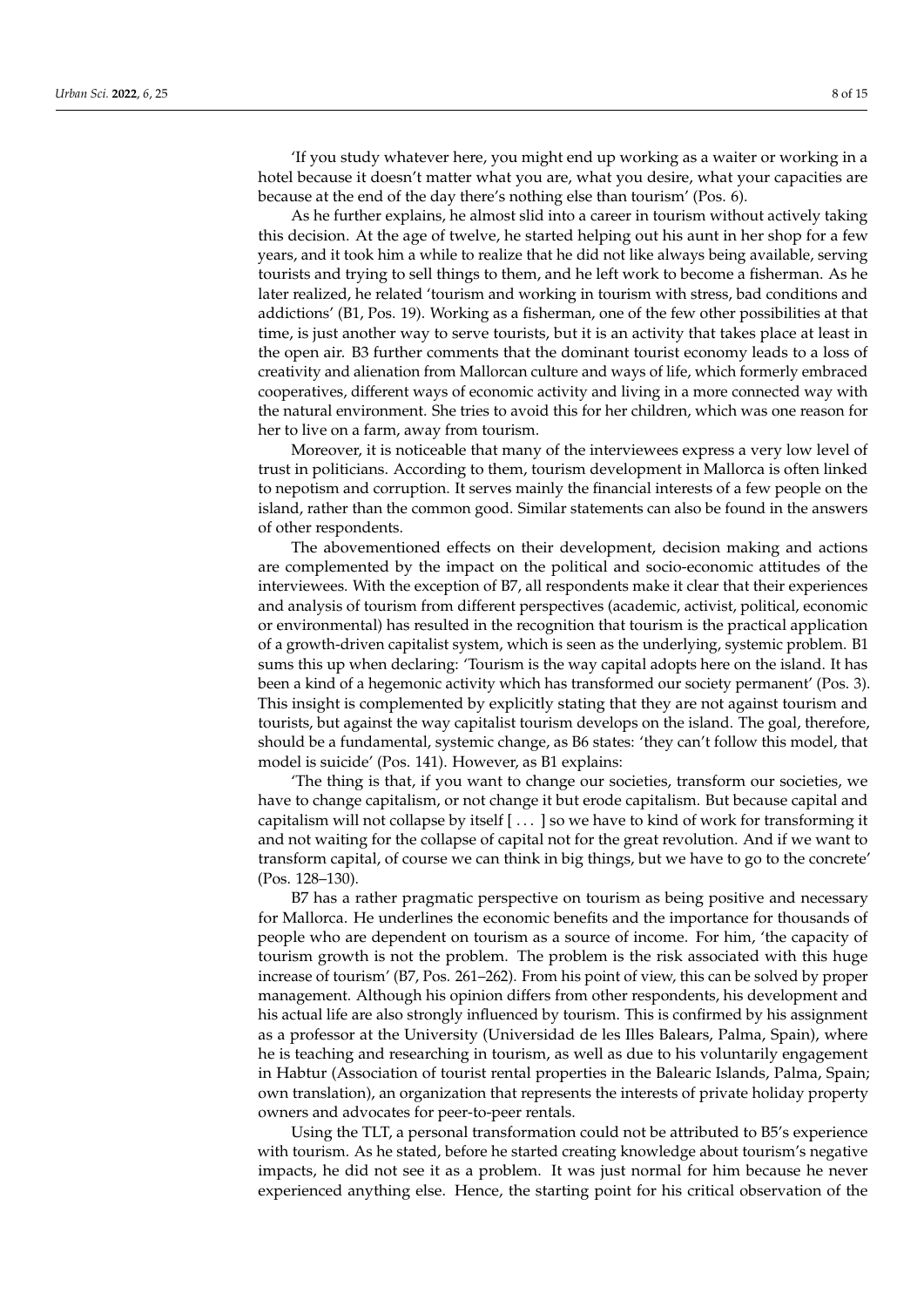'If you study whatever here, you might end up working as a waiter or working in a hotel because it doesn't matter what you are, what you desire, what your capacities are because at the end of the day there's nothing else than tourism' (Pos. 6).

As he further explains, he almost slid into a career in tourism without actively taking this decision. At the age of twelve, he started helping out his aunt in her shop for a few years, and it took him a while to realize that he did not like always being available, serving tourists and trying to sell things to them, and he left work to become a fisherman. As he later realized, he related 'tourism and working in tourism with stress, bad conditions and addictions' (B1, Pos. 19). Working as a fisherman, one of the few other possibilities at that time, is just another way to serve tourists, but it is an activity that takes place at least in the open air. B3 further comments that the dominant tourist economy leads to a loss of creativity and alienation from Mallorcan culture and ways of life, which formerly embraced cooperatives, different ways of economic activity and living in a more connected way with the natural environment. She tries to avoid this for her children, which was one reason for her to live on a farm, away from tourism.

Moreover, it is noticeable that many of the interviewees express a very low level of trust in politicians. According to them, tourism development in Mallorca is often linked to nepotism and corruption. It serves mainly the financial interests of a few people on the island, rather than the common good. Similar statements can also be found in the answers of other respondents.

The abovementioned effects on their development, decision making and actions are complemented by the impact on the political and socio-economic attitudes of the interviewees. With the exception of B7, all respondents make it clear that their experiences and analysis of tourism from different perspectives (academic, activist, political, economic or environmental) has resulted in the recognition that tourism is the practical application of a growth-driven capitalist system, which is seen as the underlying, systemic problem. B1 sums this up when declaring: 'Tourism is the way capital adopts here on the island. It has been a kind of a hegemonic activity which has transformed our society permanent' (Pos. 3). This insight is complemented by explicitly stating that they are not against tourism and tourists, but against the way capitalist tourism develops on the island. The goal, therefore, should be a fundamental, systemic change, as B6 states: 'they can't follow this model, that model is suicide' (Pos. 141). However, as B1 explains:

'The thing is that, if you want to change our societies, transform our societies, we have to change capitalism, or not change it but erode capitalism. But because capital and capitalism will not collapse by itself [ . . . ] so we have to kind of work for transforming it and not waiting for the collapse of capital not for the great revolution. And if we want to transform capital, of course we can think in big things, but we have to go to the concrete' (Pos. 128–130).

B7 has a rather pragmatic perspective on tourism as being positive and necessary for Mallorca. He underlines the economic benefits and the importance for thousands of people who are dependent on tourism as a source of income. For him, 'the capacity of tourism growth is not the problem. The problem is the risk associated with this huge increase of tourism' (B7, Pos. 261–262). From his point of view, this can be solved by proper management. Although his opinion differs from other respondents, his development and his actual life are also strongly influenced by tourism. This is confirmed by his assignment as a professor at the University (Universidad de les Illes Balears, Palma, Spain), where he is teaching and researching in tourism, as well as due to his voluntarily engagement in Habtur (Association of tourist rental properties in the Balearic Islands, Palma, Spain; own translation), an organization that represents the interests of private holiday property owners and advocates for peer-to-peer rentals.

Using the TLT, a personal transformation could not be attributed to B5's experience with tourism. As he stated, before he started creating knowledge about tourism's negative impacts, he did not see it as a problem. It was just normal for him because he never experienced anything else. Hence, the starting point for his critical observation of the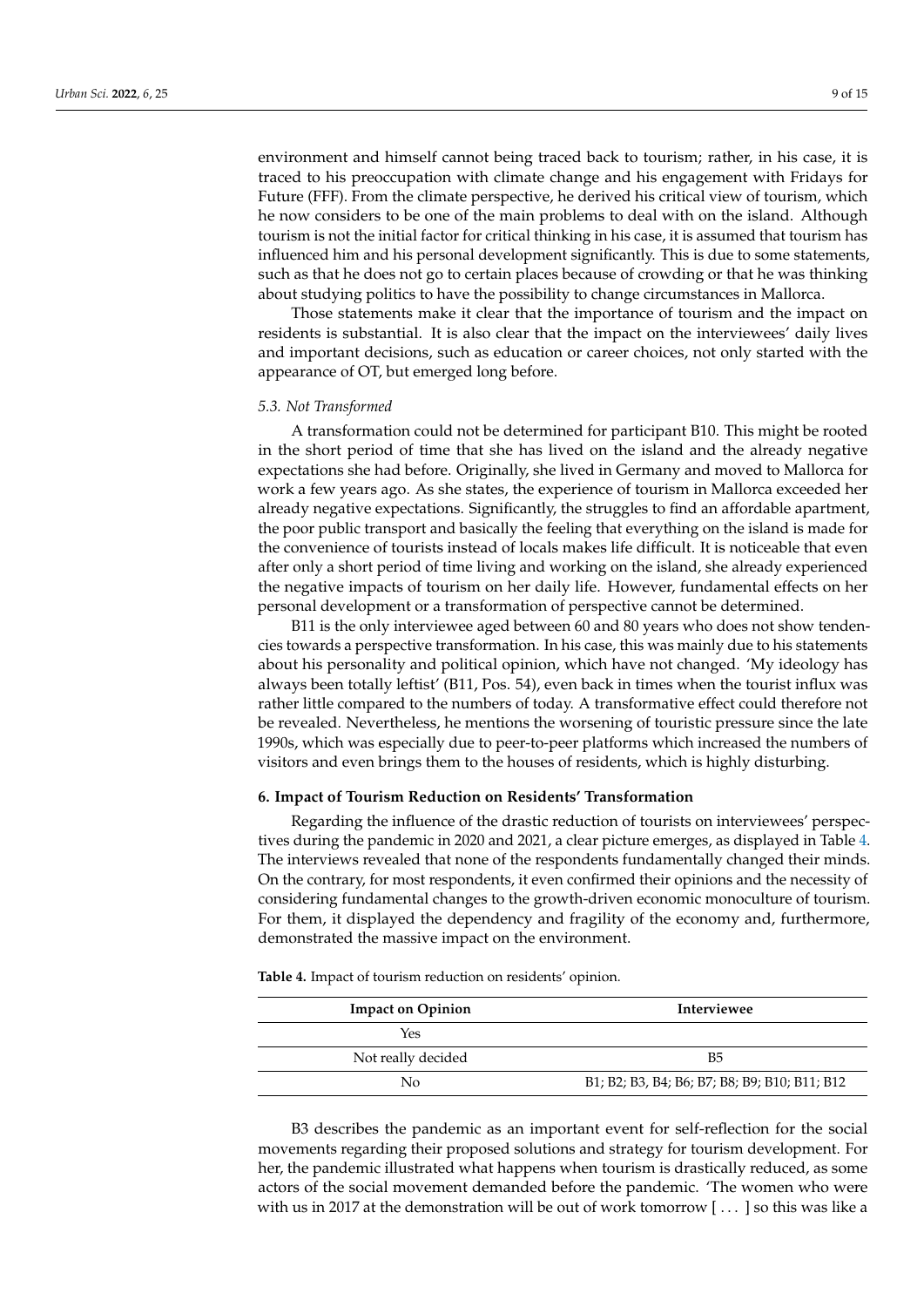environment and himself cannot being traced back to tourism; rather, in his case, it is traced to his preoccupation with climate change and his engagement with Fridays for Future (FFF). From the climate perspective, he derived his critical view of tourism, which he now considers to be one of the main problems to deal with on the island. Although tourism is not the initial factor for critical thinking in his case, it is assumed that tourism has influenced him and his personal development significantly. This is due to some statements, such as that he does not go to certain places because of crowding or that he was thinking about studying politics to have the possibility to change circumstances in Mallorca.

Those statements make it clear that the importance of tourism and the impact on residents is substantial. It is also clear that the impact on the interviewees' daily lives and important decisions, such as education or career choices, not only started with the appearance of OT, but emerged long before.

#### <span id="page-8-0"></span>*5.3. Not Transformed*

A transformation could not be determined for participant B10. This might be rooted in the short period of time that she has lived on the island and the already negative expectations she had before. Originally, she lived in Germany and moved to Mallorca for work a few years ago. As she states, the experience of tourism in Mallorca exceeded her already negative expectations. Significantly, the struggles to find an affordable apartment, the poor public transport and basically the feeling that everything on the island is made for the convenience of tourists instead of locals makes life difficult. It is noticeable that even after only a short period of time living and working on the island, she already experienced the negative impacts of tourism on her daily life. However, fundamental effects on her personal development or a transformation of perspective cannot be determined.

B11 is the only interviewee aged between 60 and 80 years who does not show tendencies towards a perspective transformation. In his case, this was mainly due to his statements about his personality and political opinion, which have not changed. 'My ideology has always been totally leftist' (B11, Pos. 54), even back in times when the tourist influx was rather little compared to the numbers of today. A transformative effect could therefore not be revealed. Nevertheless, he mentions the worsening of touristic pressure since the late 1990s, which was especially due to peer-to-peer platforms which increased the numbers of visitors and even brings them to the houses of residents, which is highly disturbing.

#### **6. Impact of Tourism Reduction on Residents' Transformation**

Regarding the influence of the drastic reduction of tourists on interviewees' perspectives during the pandemic in 2020 and 2021, a clear picture emerges, as displayed in Table [4.](#page-8-1) The interviews revealed that none of the respondents fundamentally changed their minds. On the contrary, for most respondents, it even confirmed their opinions and the necessity of considering fundamental changes to the growth-driven economic monoculture of tourism. For them, it displayed the dependency and fragility of the economy and, furthermore, demonstrated the massive impact on the environment.

<span id="page-8-1"></span>**Table 4.** Impact of tourism reduction on residents' opinion.

| <b>Impact on Opinion</b> | Interviewee                                   |  |  |  |  |  |
|--------------------------|-----------------------------------------------|--|--|--|--|--|
| Yes                      |                                               |  |  |  |  |  |
| Not really decided       | <b>B5</b>                                     |  |  |  |  |  |
| No                       | B1; B2; B3, B4; B6; B7; B8; B9; B10; B11; B12 |  |  |  |  |  |

B3 describes the pandemic as an important event for self-reflection for the social movements regarding their proposed solutions and strategy for tourism development. For her, the pandemic illustrated what happens when tourism is drastically reduced, as some actors of the social movement demanded before the pandemic. 'The women who were with us in 2017 at the demonstration will be out of work tomorrow [ . . . ] so this was like a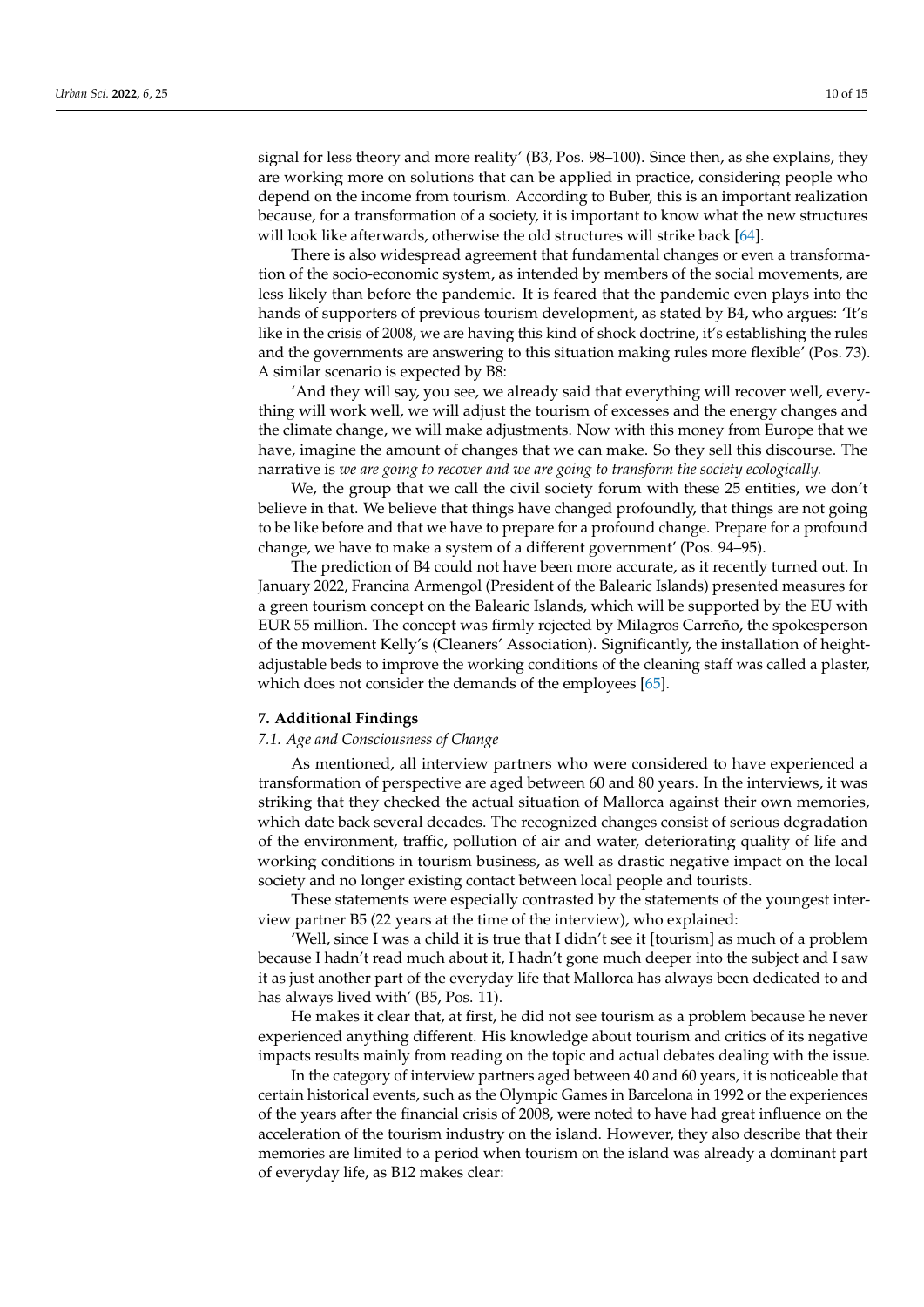signal for less theory and more reality' (B3, Pos. 98–100). Since then, as she explains, they are working more on solutions that can be applied in practice, considering people who depend on the income from tourism. According to Buber, this is an important realization because, for a transformation of a society, it is important to know what the new structures will look like afterwards, otherwise the old structures will strike back [\[64\]](#page-14-3).

There is also widespread agreement that fundamental changes or even a transformation of the socio-economic system, as intended by members of the social movements, are less likely than before the pandemic. It is feared that the pandemic even plays into the hands of supporters of previous tourism development, as stated by B4, who argues: 'It's like in the crisis of 2008, we are having this kind of shock doctrine, it's establishing the rules and the governments are answering to this situation making rules more flexible' (Pos. 73). A similar scenario is expected by B8:

'And they will say, you see, we already said that everything will recover well, everything will work well, we will adjust the tourism of excesses and the energy changes and the climate change, we will make adjustments. Now with this money from Europe that we have, imagine the amount of changes that we can make. So they sell this discourse. The narrative is *we are going to recover and we are going to transform the society ecologically.*

We, the group that we call the civil society forum with these 25 entities, we don't believe in that. We believe that things have changed profoundly, that things are not going to be like before and that we have to prepare for a profound change. Prepare for a profound change, we have to make a system of a different government' (Pos. 94–95).

The prediction of B4 could not have been more accurate, as it recently turned out. In January 2022, Francina Armengol (President of the Balearic Islands) presented measures for a green tourism concept on the Balearic Islands, which will be supported by the EU with EUR 55 million. The concept was firmly rejected by Milagros Carreño, the spokesperson of the movement Kelly's (Cleaners' Association). Significantly, the installation of heightadjustable beds to improve the working conditions of the cleaning staff was called a plaster, which does not consider the demands of the employees [\[65\]](#page-14-4).

## **7. Additional Findings**

# *7.1. Age and Consciousness of Change*

As mentioned, all interview partners who were considered to have experienced a transformation of perspective are aged between 60 and 80 years. In the interviews, it was striking that they checked the actual situation of Mallorca against their own memories, which date back several decades. The recognized changes consist of serious degradation of the environment, traffic, pollution of air and water, deteriorating quality of life and working conditions in tourism business, as well as drastic negative impact on the local society and no longer existing contact between local people and tourists.

These statements were especially contrasted by the statements of the youngest interview partner B5 (22 years at the time of the interview), who explained:

'Well, since I was a child it is true that I didn't see it [tourism] as much of a problem because I hadn't read much about it, I hadn't gone much deeper into the subject and I saw it as just another part of the everyday life that Mallorca has always been dedicated to and has always lived with' (B5, Pos. 11).

He makes it clear that, at first, he did not see tourism as a problem because he never experienced anything different. His knowledge about tourism and critics of its negative impacts results mainly from reading on the topic and actual debates dealing with the issue.

In the category of interview partners aged between 40 and 60 years, it is noticeable that certain historical events, such as the Olympic Games in Barcelona in 1992 or the experiences of the years after the financial crisis of 2008, were noted to have had great influence on the acceleration of the tourism industry on the island. However, they also describe that their memories are limited to a period when tourism on the island was already a dominant part of everyday life, as B12 makes clear: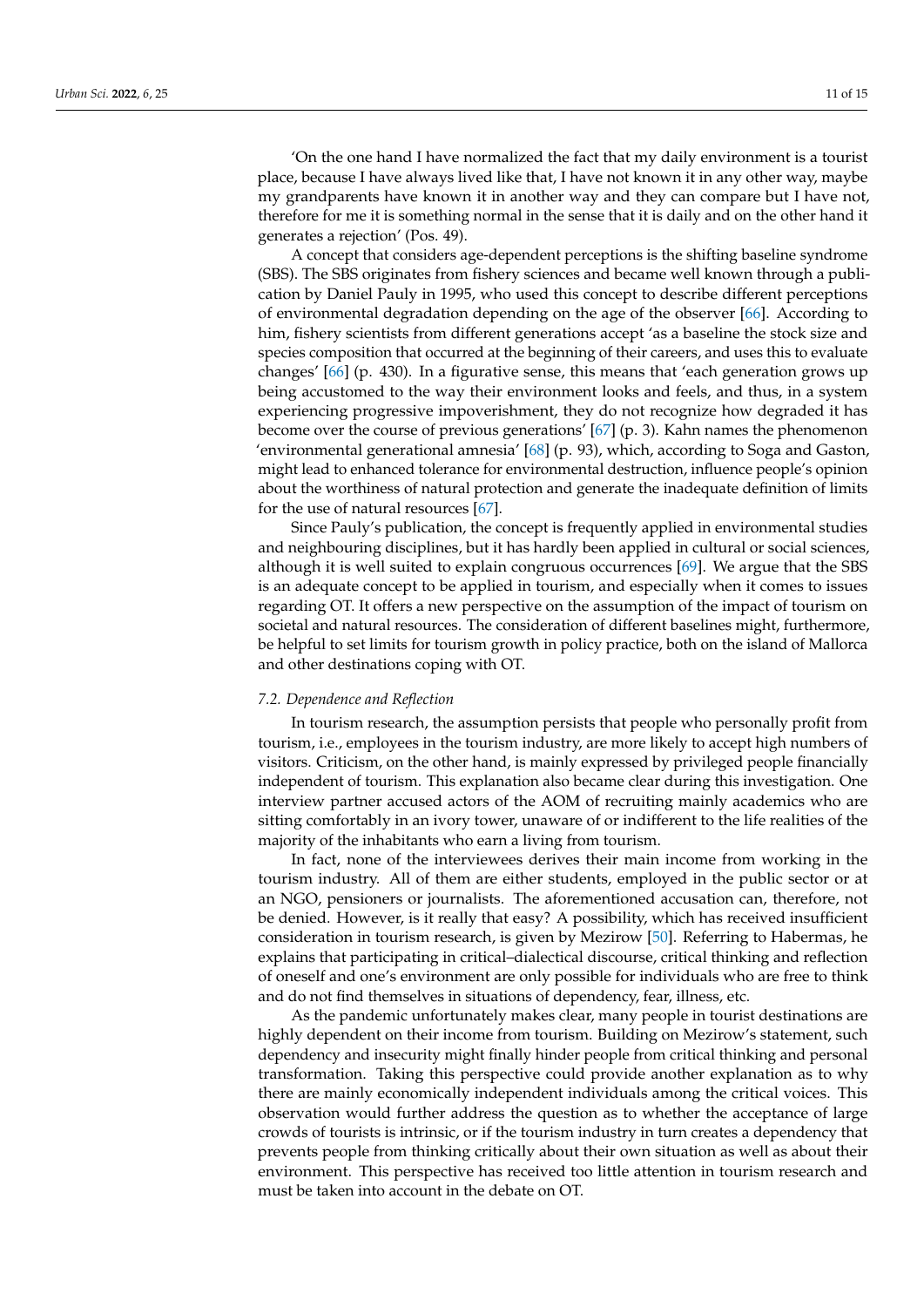'On the one hand I have normalized the fact that my daily environment is a tourist place, because I have always lived like that, I have not known it in any other way, maybe my grandparents have known it in another way and they can compare but I have not, therefore for me it is something normal in the sense that it is daily and on the other hand it generates a rejection' (Pos. 49).

A concept that considers age-dependent perceptions is the shifting baseline syndrome (SBS). The SBS originates from fishery sciences and became well known through a publication by Daniel Pauly in 1995, who used this concept to describe different perceptions of environmental degradation depending on the age of the observer [\[66\]](#page-14-5). According to him, fishery scientists from different generations accept 'as a baseline the stock size and species composition that occurred at the beginning of their careers, and uses this to evaluate changes' [\[66\]](#page-14-5) (p. 430). In a figurative sense, this means that 'each generation grows up being accustomed to the way their environment looks and feels, and thus, in a system experiencing progressive impoverishment, they do not recognize how degraded it has become over the course of previous generations' [\[67\]](#page-14-6) (p. 3). Kahn names the phenomenon 'environmental generational amnesia' [\[68\]](#page-14-7) (p. 93), which, according to Soga and Gaston, might lead to enhanced tolerance for environmental destruction, influence people's opinion about the worthiness of natural protection and generate the inadequate definition of limits for the use of natural resources [\[67\]](#page-14-6).

Since Pauly's publication, the concept is frequently applied in environmental studies and neighbouring disciplines, but it has hardly been applied in cultural or social sciences, although it is well suited to explain congruous occurrences [\[69\]](#page-14-8). We argue that the SBS is an adequate concept to be applied in tourism, and especially when it comes to issues regarding OT. It offers a new perspective on the assumption of the impact of tourism on societal and natural resources. The consideration of different baselines might, furthermore, be helpful to set limits for tourism growth in policy practice, both on the island of Mallorca and other destinations coping with OT.

#### *7.2. Dependence and Reflection*

In tourism research, the assumption persists that people who personally profit from tourism, i.e., employees in the tourism industry, are more likely to accept high numbers of visitors. Criticism, on the other hand, is mainly expressed by privileged people financially independent of tourism. This explanation also became clear during this investigation. One interview partner accused actors of the AOM of recruiting mainly academics who are sitting comfortably in an ivory tower, unaware of or indifferent to the life realities of the majority of the inhabitants who earn a living from tourism.

In fact, none of the interviewees derives their main income from working in the tourism industry. All of them are either students, employed in the public sector or at an NGO, pensioners or journalists. The aforementioned accusation can, therefore, not be denied. However, is it really that easy? A possibility, which has received insufficient consideration in tourism research, is given by Mezirow [\[50\]](#page-13-18). Referring to Habermas, he explains that participating in critical–dialectical discourse, critical thinking and reflection of oneself and one's environment are only possible for individuals who are free to think and do not find themselves in situations of dependency, fear, illness, etc.

As the pandemic unfortunately makes clear, many people in tourist destinations are highly dependent on their income from tourism. Building on Mezirow's statement, such dependency and insecurity might finally hinder people from critical thinking and personal transformation. Taking this perspective could provide another explanation as to why there are mainly economically independent individuals among the critical voices. This observation would further address the question as to whether the acceptance of large crowds of tourists is intrinsic, or if the tourism industry in turn creates a dependency that prevents people from thinking critically about their own situation as well as about their environment. This perspective has received too little attention in tourism research and must be taken into account in the debate on OT.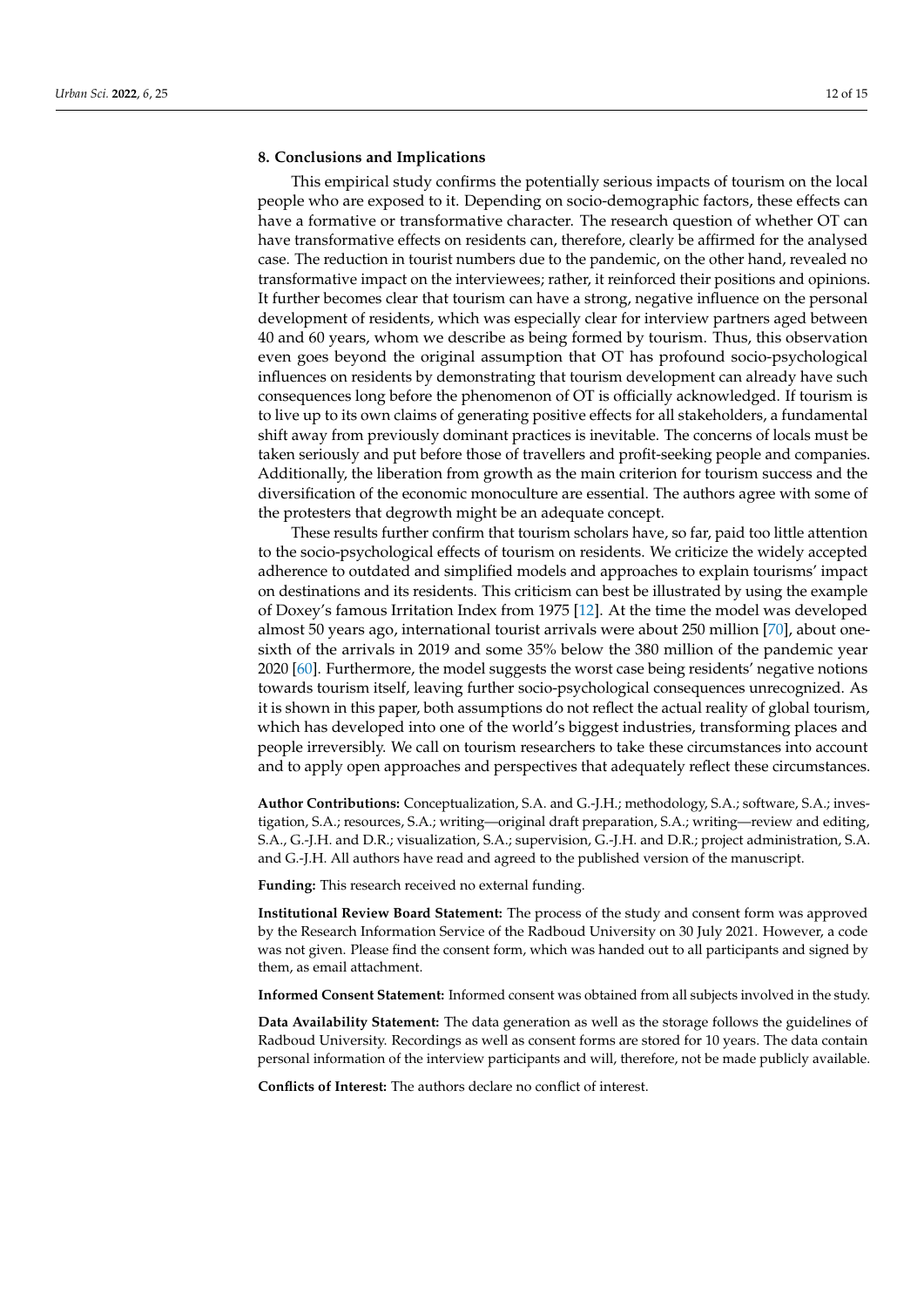#### **8. Conclusions and Implications**

This empirical study confirms the potentially serious impacts of tourism on the local people who are exposed to it. Depending on socio-demographic factors, these effects can have a formative or transformative character. The research question of whether OT can have transformative effects on residents can, therefore, clearly be affirmed for the analysed case. The reduction in tourist numbers due to the pandemic, on the other hand, revealed no transformative impact on the interviewees; rather, it reinforced their positions and opinions. It further becomes clear that tourism can have a strong, negative influence on the personal development of residents, which was especially clear for interview partners aged between 40 and 60 years, whom we describe as being formed by tourism. Thus, this observation even goes beyond the original assumption that OT has profound socio-psychological influences on residents by demonstrating that tourism development can already have such consequences long before the phenomenon of OT is officially acknowledged. If tourism is to live up to its own claims of generating positive effects for all stakeholders, a fundamental shift away from previously dominant practices is inevitable. The concerns of locals must be taken seriously and put before those of travellers and profit-seeking people and companies. Additionally, the liberation from growth as the main criterion for tourism success and the diversification of the economic monoculture are essential. The authors agree with some of the protesters that degrowth might be an adequate concept.

These results further confirm that tourism scholars have, so far, paid too little attention to the socio-psychological effects of tourism on residents. We criticize the widely accepted adherence to outdated and simplified models and approaches to explain tourisms' impact on destinations and its residents. This criticism can best be illustrated by using the example of Doxey's famous Irritation Index from 1975 [\[12\]](#page-12-7). At the time the model was developed almost 50 years ago, international tourist arrivals were about 250 million [\[70\]](#page-14-9), about onesixth of the arrivals in 2019 and some 35% below the 380 million of the pandemic year 2020 [\[60\]](#page-13-28). Furthermore, the model suggests the worst case being residents' negative notions towards tourism itself, leaving further socio-psychological consequences unrecognized. As it is shown in this paper, both assumptions do not reflect the actual reality of global tourism, which has developed into one of the world's biggest industries, transforming places and people irreversibly. We call on tourism researchers to take these circumstances into account and to apply open approaches and perspectives that adequately reflect these circumstances.

**Author Contributions:** Conceptualization, S.A. and G.-J.H.; methodology, S.A.; software, S.A.; investigation, S.A.; resources, S.A.; writing—original draft preparation, S.A.; writing—review and editing, S.A., G.-J.H. and D.R.; visualization, S.A.; supervision, G.-J.H. and D.R.; project administration, S.A. and G.-J.H. All authors have read and agreed to the published version of the manuscript.

**Funding:** This research received no external funding.

**Institutional Review Board Statement:** The process of the study and consent form was approved by the Research Information Service of the Radboud University on 30 July 2021. However, a code was not given. Please find the consent form, which was handed out to all participants and signed by them, as email attachment.

**Informed Consent Statement:** Informed consent was obtained from all subjects involved in the study.

**Data Availability Statement:** The data generation as well as the storage follows the guidelines of Radboud University. Recordings as well as consent forms are stored for 10 years. The data contain personal information of the interview participants and will, therefore, not be made publicly available.

**Conflicts of Interest:** The authors declare no conflict of interest.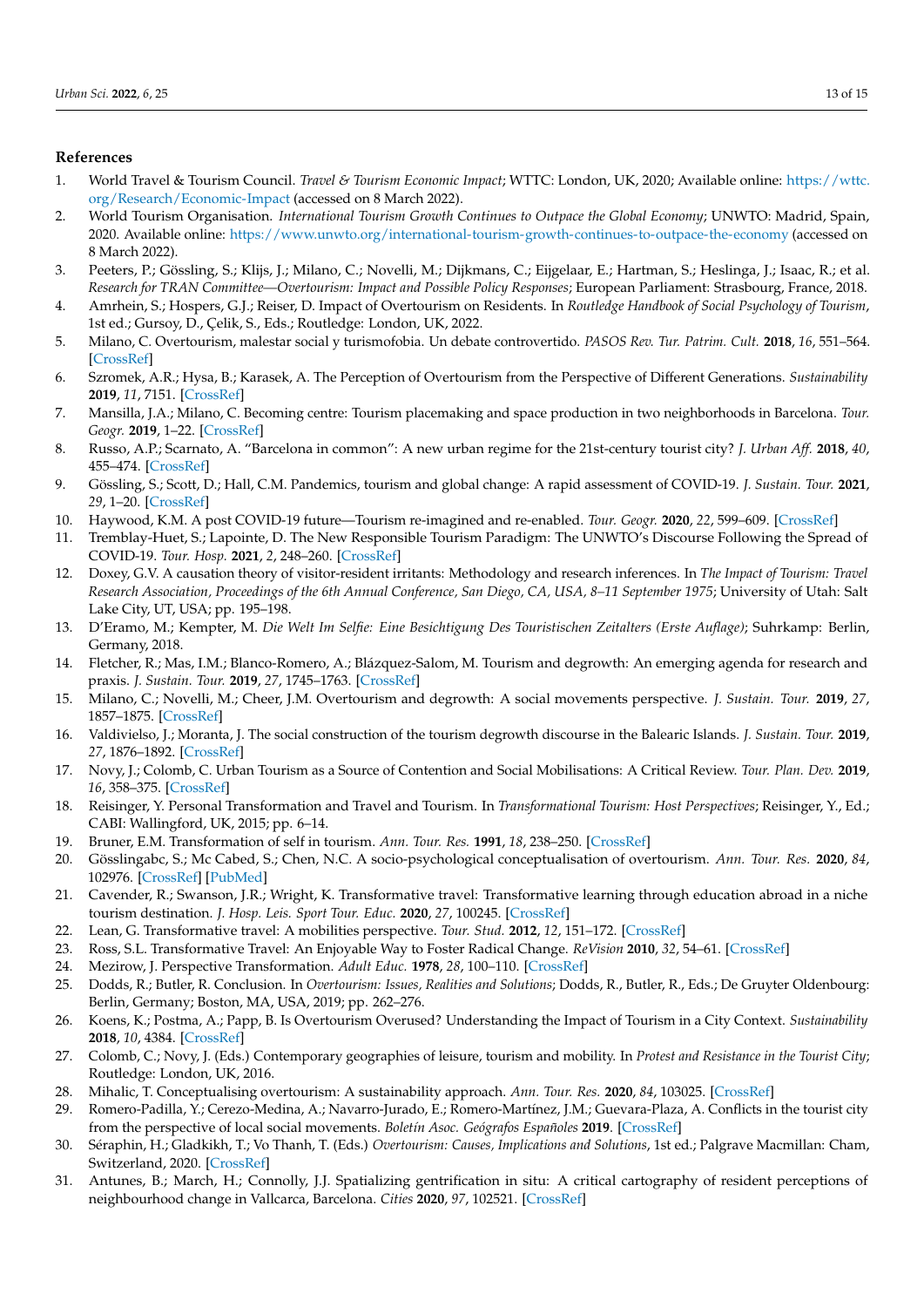## **References**

- <span id="page-12-0"></span>1. World Travel & Tourism Council. *Travel & Tourism Economic Impact*; WTTC: London, UK, 2020; Available online: [https://wttc.](https://wttc.org/Research/Economic-Impact) [org/Research/Economic-Impact](https://wttc.org/Research/Economic-Impact) (accessed on 8 March 2022).
- <span id="page-12-1"></span>2. World Tourism Organisation. *International Tourism Growth Continues to Outpace the Global Economy*; UNWTO: Madrid, Spain, 2020. Available online: <https://www.unwto.org/international-tourism-growth-continues-to-outpace-the-economy> (accessed on 8 March 2022).
- <span id="page-12-2"></span>3. Peeters, P.; Gössling, S.; Klijs, J.; Milano, C.; Novelli, M.; Dijkmans, C.; Eijgelaar, E.; Hartman, S.; Heslinga, J.; Isaac, R.; et al. *Research for TRAN Committee—Overtourism: Impact and Possible Policy Responses*; European Parliament: Strasbourg, France, 2018.
- <span id="page-12-3"></span>4. Amrhein, S.; Hospers, G.J.; Reiser, D. Impact of Overtourism on Residents. In *Routledge Handbook of Social Psychology of Tourism*, 1st ed.; Gursoy, D., Çelik, S., Eds.; Routledge: London, UK, 2022.
- 5. Milano, C. Overtourism, malestar social y turismofobia. Un debate controvertido. *PASOS Rev. Tur. Patrim. Cult.* **2018**, *16*, 551–564. [\[CrossRef\]](http://doi.org/10.25145/j.pasos.2018.16.041)
- 6. Szromek, A.R.; Hysa, B.; Karasek, A. The Perception of Overtourism from the Perspective of Different Generations. *Sustainability* **2019**, *11*, 7151. [\[CrossRef\]](http://doi.org/10.3390/su11247151)
- 7. Mansilla, J.A.; Milano, C. Becoming centre: Tourism placemaking and space production in two neighborhoods in Barcelona. *Tour. Geogr.* **2019**, 1–22. [\[CrossRef\]](http://doi.org/10.1080/14616688.2019.1571097)
- <span id="page-12-4"></span>8. Russo, A.P.; Scarnato, A. "Barcelona in common": A new urban regime for the 21st-century tourist city? *J. Urban Aff.* **2018**, *40*, 455–474. [\[CrossRef\]](http://doi.org/10.1080/07352166.2017.1373023)
- <span id="page-12-5"></span>9. Gössling, S.; Scott, D.; Hall, C.M. Pandemics, tourism and global change: A rapid assessment of COVID-19. *J. Sustain. Tour.* **2021**, *29*, 1–20. [\[CrossRef\]](http://doi.org/10.1080/09669582.2020.1758708)
- 10. Haywood, K.M. A post COVID-19 future—Tourism re-imagined and re-enabled. *Tour. Geogr.* **2020**, *22*, 599–609. [\[CrossRef\]](http://doi.org/10.1080/14616688.2020.1762120)
- <span id="page-12-6"></span>11. Tremblay-Huet, S.; Lapointe, D. The New Responsible Tourism Paradigm: The UNWTO's Discourse Following the Spread of COVID-19. *Tour. Hosp.* **2021**, *2*, 248–260. [\[CrossRef\]](http://doi.org/10.3390/tourhosp2020015)
- <span id="page-12-7"></span>12. Doxey, G.V. A causation theory of visitor-resident irritants: Methodology and research inferences. In *The Impact of Tourism: Travel Research Association, Proceedings of the 6th Annual Conference, San Diego, CA, USA, 8–11 September 1975*; University of Utah: Salt Lake City, UT, USA; pp. 195–198.
- <span id="page-12-8"></span>13. D'Eramo, M.; Kempter, M. *Die Welt Im Selfie: Eine Besichtigung Des Touristischen Zeitalters (Erste Auflage)*; Suhrkamp: Berlin, Germany, 2018.
- <span id="page-12-9"></span>14. Fletcher, R.; Mas, I.M.; Blanco-Romero, A.; Blázquez-Salom, M. Tourism and degrowth: An emerging agenda for research and praxis. *J. Sustain. Tour.* **2019**, *27*, 1745–1763. [\[CrossRef\]](http://doi.org/10.1080/09669582.2019.1679822)
- 15. Milano, C.; Novelli, M.; Cheer, J.M. Overtourism and degrowth: A social movements perspective. *J. Sustain. Tour.* **2019**, *27*, 1857–1875. [\[CrossRef\]](http://doi.org/10.1080/09669582.2019.1650054)
- <span id="page-12-10"></span>16. Valdivielso, J.; Moranta, J. The social construction of the tourism degrowth discourse in the Balearic Islands. *J. Sustain. Tour.* **2019**, *27*, 1876–1892. [\[CrossRef\]](http://doi.org/10.1080/09669582.2019.1660670)
- <span id="page-12-11"></span>17. Novy, J.; Colomb, C. Urban Tourism as a Source of Contention and Social Mobilisations: A Critical Review. *Tour. Plan. Dev.* **2019**, *16*, 358–375. [\[CrossRef\]](http://doi.org/10.1080/21568316.2019.1577293)
- <span id="page-12-12"></span>18. Reisinger, Y. Personal Transformation and Travel and Tourism. In *Transformational Tourism: Host Perspectives*; Reisinger, Y., Ed.; CABI: Wallingford, UK, 2015; pp. 6–14.
- <span id="page-12-13"></span>19. Bruner, E.M. Transformation of self in tourism. *Ann. Tour. Res.* **1991**, *18*, 238–250. [\[CrossRef\]](http://doi.org/10.1016/0160-7383(91)90007-X)
- <span id="page-12-14"></span>20. Gösslingabc, S.; Mc Cabed, S.; Chen, N.C. A socio-psychological conceptualisation of overtourism. *Ann. Tour. Res.* **2020**, *84*, 102976. [\[CrossRef\]](http://doi.org/10.1016/j.annals.2020.102976) [\[PubMed\]](http://www.ncbi.nlm.nih.gov/pubmed/32834222)
- <span id="page-12-15"></span>21. Cavender, R.; Swanson, J.R.; Wright, K. Transformative travel: Transformative learning through education abroad in a niche tourism destination. *J. Hosp. Leis. Sport Tour. Educ.* **2020**, *27*, 100245. [\[CrossRef\]](http://doi.org/10.1016/j.jhlste.2020.100245)
- 22. Lean, G. Transformative travel: A mobilities perspective. *Tour. Stud.* **2012**, *12*, 151–172. [\[CrossRef\]](http://doi.org/10.1177/1468797612454624)
- <span id="page-12-16"></span>23. Ross, S.L. Transformative Travel: An Enjoyable Way to Foster Radical Change. *ReVision* **2010**, *32*, 54–61. [\[CrossRef\]](http://doi.org/10.4298/REVN.32.1.54-62)
- <span id="page-12-17"></span>24. Mezirow, J. Perspective Transformation. *Adult Educ.* **1978**, *28*, 100–110. [\[CrossRef\]](http://doi.org/10.1177/074171367802800202)
- <span id="page-12-18"></span>25. Dodds, R.; Butler, R. Conclusion. In *Overtourism: Issues, Realities and Solutions*; Dodds, R., Butler, R., Eds.; De Gruyter Oldenbourg: Berlin, Germany; Boston, MA, USA, 2019; pp. 262–276.
- <span id="page-12-19"></span>26. Koens, K.; Postma, A.; Papp, B. Is Overtourism Overused? Understanding the Impact of Tourism in a City Context. *Sustainability* **2018**, *10*, 4384. [\[CrossRef\]](http://doi.org/10.3390/su10124384)
- <span id="page-12-20"></span>27. Colomb, C.; Novy, J. (Eds.) Contemporary geographies of leisure, tourism and mobility. In *Protest and Resistance in the Tourist City*; Routledge: London, UK, 2016.
- 28. Mihalic, T. Conceptualising overtourism: A sustainability approach. *Ann. Tour. Res.* **2020**, *84*, 103025. [\[CrossRef\]](http://doi.org/10.1016/j.annals.2020.103025)
- 29. Romero-Padilla, Y.; Cerezo-Medina, A.; Navarro-Jurado, E.; Romero-Martínez, J.M.; Guevara-Plaza, A. Conflicts in the tourist city from the perspective of local social movements. *Boletín Asoc. Geógrafos Españoles* **2019**. [\[CrossRef\]](http://doi.org/10.21138/bage.2837)
- <span id="page-12-21"></span>30. Séraphin, H.; Gladkikh, T.; Vo Thanh, T. (Eds.) *Overtourism: Causes, Implications and Solutions*, 1st ed.; Palgrave Macmillan: Cham, Switzerland, 2020. [\[CrossRef\]](http://doi.org/10.1007/978-3-030-42458-9)
- <span id="page-12-22"></span>31. Antunes, B.; March, H.; Connolly, J.J. Spatializing gentrification in situ: A critical cartography of resident perceptions of neighbourhood change in Vallcarca, Barcelona. *Cities* **2020**, *97*, 102521. [\[CrossRef\]](http://doi.org/10.1016/j.cities.2019.102521)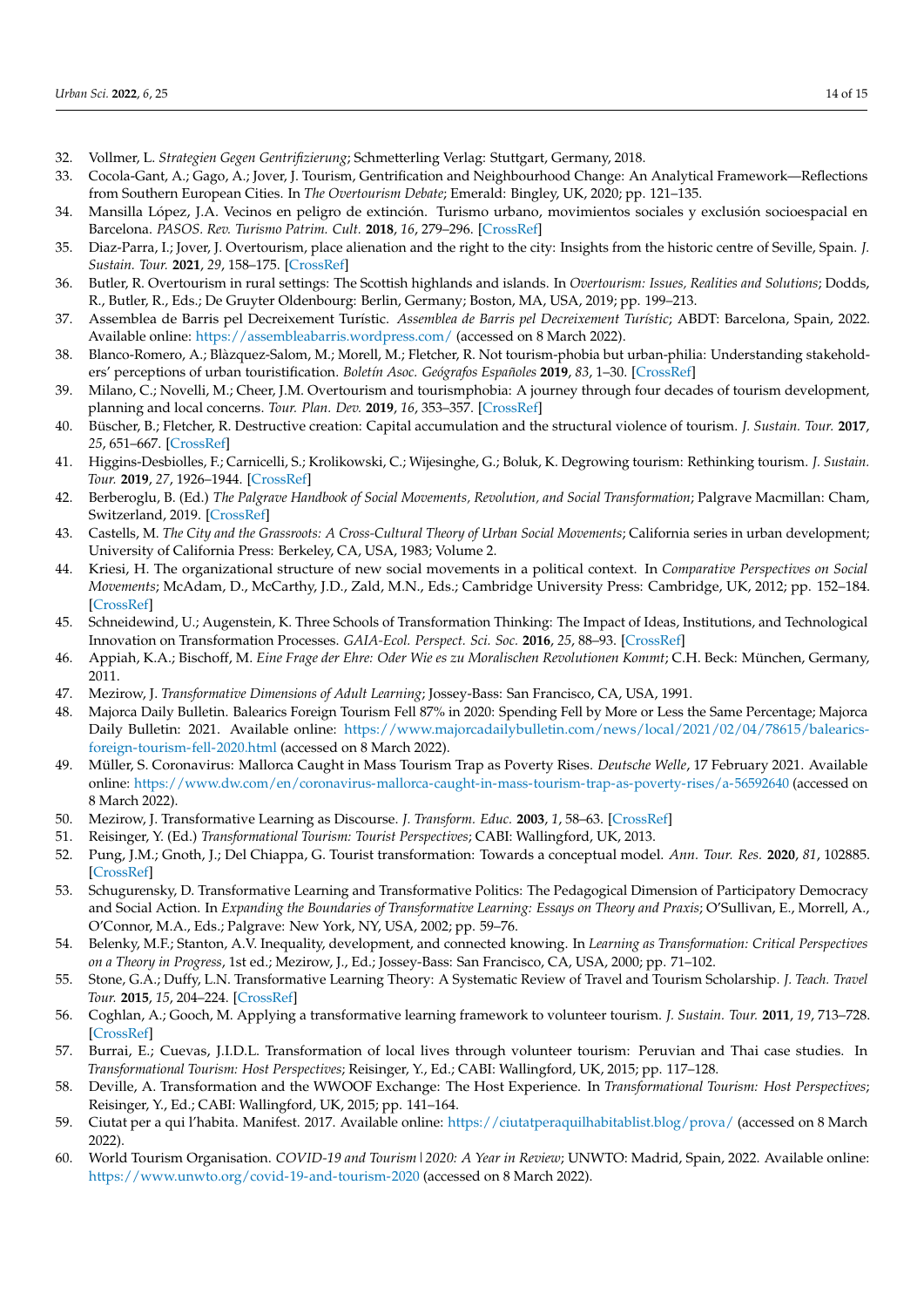- <span id="page-13-0"></span>32. Vollmer, L. *Strategien Gegen Gentrifizierung*; Schmetterling Verlag: Stuttgart, Germany, 2018.
- <span id="page-13-1"></span>33. Cocola-Gant, A.; Gago, A.; Jover, J. Tourism, Gentrification and Neighbourhood Change: An Analytical Framework—Reflections from Southern European Cities. In *The Overtourism Debate*; Emerald: Bingley, UK, 2020; pp. 121–135.
- <span id="page-13-2"></span>34. Mansilla López, J.A. Vecinos en peligro de extinción. Turismo urbano, movimientos sociales y exclusión socioespacial en Barcelona. *PASOS. Rev. Turismo Patrim. Cult.* **2018**, *16*, 279–296. [\[CrossRef\]](http://doi.org/10.25145/j.pasos.2018.16.020)
- <span id="page-13-3"></span>35. Diaz-Parra, I.; Jover, J. Overtourism, place alienation and the right to the city: Insights from the historic centre of Seville, Spain. *J. Sustain. Tour.* **2021**, *29*, 158–175. [\[CrossRef\]](http://doi.org/10.1080/09669582.2020.1717504)
- <span id="page-13-4"></span>36. Butler, R. Overtourism in rural settings: The Scottish highlands and islands. In *Overtourism: Issues, Realities and Solutions*; Dodds, R., Butler, R., Eds.; De Gruyter Oldenbourg: Berlin, Germany; Boston, MA, USA, 2019; pp. 199–213.
- <span id="page-13-5"></span>37. Assemblea de Barris pel Decreixement Turístic. *Assemblea de Barris pel Decreixement Turístic*; ABDT: Barcelona, Spain, 2022. Available online: <https://assembleabarris.wordpress.com/> (accessed on 8 March 2022).
- <span id="page-13-6"></span>38. Blanco-Romero, A.; Blàzquez-Salom, M.; Morell, M.; Fletcher, R. Not tourism-phobia but urban-philia: Understanding stakeholders' perceptions of urban touristification. *Boletín Asoc. Geógrafos Españoles* **2019**, *83*, 1–30. [\[CrossRef\]](http://doi.org/10.21138/bage.2834)
- <span id="page-13-7"></span>39. Milano, C.; Novelli, M.; Cheer, J.M. Overtourism and tourismphobia: A journey through four decades of tourism development, planning and local concerns. *Tour. Plan. Dev.* **2019**, *16*, 353–357. [\[CrossRef\]](http://doi.org/10.1080/21568316.2019.1599604)
- <span id="page-13-8"></span>40. Büscher, B.; Fletcher, R. Destructive creation: Capital accumulation and the structural violence of tourism. *J. Sustain. Tour.* **2017**, *25*, 651–667. [\[CrossRef\]](http://doi.org/10.1080/09669582.2016.1159214)
- <span id="page-13-9"></span>41. Higgins-Desbiolles, F.; Carnicelli, S.; Krolikowski, C.; Wijesinghe, G.; Boluk, K. Degrowing tourism: Rethinking tourism. *J. Sustain. Tour.* **2019**, *27*, 1926–1944. [\[CrossRef\]](http://doi.org/10.1080/09669582.2019.1601732)
- <span id="page-13-10"></span>42. Berberoglu, B. (Ed.) *The Palgrave Handbook of Social Movements, Revolution, and Social Transformation*; Palgrave Macmillan: Cham, Switzerland, 2019. [\[CrossRef\]](http://doi.org/10.1007/978-3-319-92354-3)
- <span id="page-13-11"></span>43. Castells, M. The City and the Grassroots: A Cross-Cultural Theory of Urban Social Movements; California series in urban development; University of California Press: Berkeley, CA, USA, 1983; Volume 2.
- <span id="page-13-12"></span>44. Kriesi, H. The organizational structure of new social movements in a political context. In *Comparative Perspectives on Social Movements*; McAdam, D., McCarthy, J.D., Zald, M.N., Eds.; Cambridge University Press: Cambridge, UK, 2012; pp. 152–184. [\[CrossRef\]](http://doi.org/10.1017/CBO9780511803987.009)
- <span id="page-13-13"></span>45. Schneidewind, U.; Augenstein, K. Three Schools of Transformation Thinking: The Impact of Ideas, Institutions, and Technological Innovation on Transformation Processes. *GAIA-Ecol. Perspect. Sci. Soc.* **2016**, *25*, 88–93. [\[CrossRef\]](http://doi.org/10.14512/gaia.25.2.7)
- <span id="page-13-14"></span>46. Appiah, K.A.; Bischoff, M. *Eine Frage der Ehre: Oder Wie es zu Moralischen Revolutionen Kommt*; C.H. Beck: München, Germany, 2011.
- <span id="page-13-15"></span>47. Mezirow, J. *Transformative Dimensions of Adult Learning*; Jossey-Bass: San Francisco, CA, USA, 1991.
- <span id="page-13-16"></span>48. Majorca Daily Bulletin. Balearics Foreign Tourism Fell 87% in 2020: Spending Fell by More or Less the Same Percentage; Majorca Daily Bulletin: 2021. Available online: [https://www.majorcadailybulletin.com/news/local/2021/02/04/78615/balearics](https://www.majorcadailybulletin.com/news/local/2021/02/04/78615/balearics-foreign-tourism-fell-2020.html)[foreign-tourism-fell-2020.html](https://www.majorcadailybulletin.com/news/local/2021/02/04/78615/balearics-foreign-tourism-fell-2020.html) (accessed on 8 March 2022).
- <span id="page-13-17"></span>49. Müller, S. Coronavirus: Mallorca Caught in Mass Tourism Trap as Poverty Rises. *Deutsche Welle*, 17 February 2021. Available online: <https://www.dw.com/en/coronavirus-mallorca-caught-in-mass-tourism-trap-as-poverty-rises/a-56592640> (accessed on 8 March 2022).
- <span id="page-13-18"></span>50. Mezirow, J. Transformative Learning as Discourse. *J. Transform. Educ.* **2003**, *1*, 58–63. [\[CrossRef\]](http://doi.org/10.1177/1541344603252172)
- <span id="page-13-19"></span>51. Reisinger, Y. (Ed.) *Transformational Tourism: Tourist Perspectives*; CABI: Wallingford, UK, 2013.
- <span id="page-13-20"></span>52. Pung, J.M.; Gnoth, J.; Del Chiappa, G. Tourist transformation: Towards a conceptual model. *Ann. Tour. Res.* **2020**, *81*, 102885. [\[CrossRef\]](http://doi.org/10.1016/j.annals.2020.102885)
- <span id="page-13-21"></span>53. Schugurensky, D. Transformative Learning and Transformative Politics: The Pedagogical Dimension of Participatory Democracy and Social Action. In *Expanding the Boundaries of Transformative Learning: Essays on Theory and Praxis; O'Sullivan, E., Morrell, A.,* O'Connor, M.A., Eds.; Palgrave: New York, NY, USA, 2002; pp. 59–76.
- <span id="page-13-22"></span>54. Belenky, M.F.; Stanton, A.V. Inequality, development, and connected knowing. In *Learning as Transformation: Critical Perspectives on a Theory in Progress*, 1st ed.; Mezirow, J., Ed.; Jossey-Bass: San Francisco, CA, USA, 2000; pp. 71–102.
- <span id="page-13-23"></span>55. Stone, G.A.; Duffy, L.N. Transformative Learning Theory: A Systematic Review of Travel and Tourism Scholarship. *J. Teach. Travel Tour.* **2015**, *15*, 204–224. [\[CrossRef\]](http://doi.org/10.1080/15313220.2015.1059305)
- <span id="page-13-24"></span>56. Coghlan, A.; Gooch, M. Applying a transformative learning framework to volunteer tourism. *J. Sustain. Tour.* **2011**, *19*, 713–728. [\[CrossRef\]](http://doi.org/10.1080/09669582.2010.542246)
- <span id="page-13-25"></span>57. Burrai, E.; Cuevas, J.I.D.L. Transformation of local lives through volunteer tourism: Peruvian and Thai case studies. In *Transformational Tourism: Host Perspectives*; Reisinger, Y., Ed.; CABI: Wallingford, UK, 2015; pp. 117–128.
- <span id="page-13-26"></span>58. Deville, A. Transformation and the WWOOF Exchange: The Host Experience. In *Transformational Tourism: Host Perspectives*; Reisinger, Y., Ed.; CABI: Wallingford, UK, 2015; pp. 141–164.
- <span id="page-13-27"></span>59. Ciutat per a qui l'habita. Manifest. 2017. Available online: <https://ciutatperaquilhabitablist.blog/prova/> (accessed on 8 March 2022).
- <span id="page-13-28"></span>60. World Tourism Organisation. *COVID-19 and Tourism|2020: A Year in Review*; UNWTO: Madrid, Spain, 2022. Available online: <https://www.unwto.org/covid-19-and-tourism-2020> (accessed on 8 March 2022).